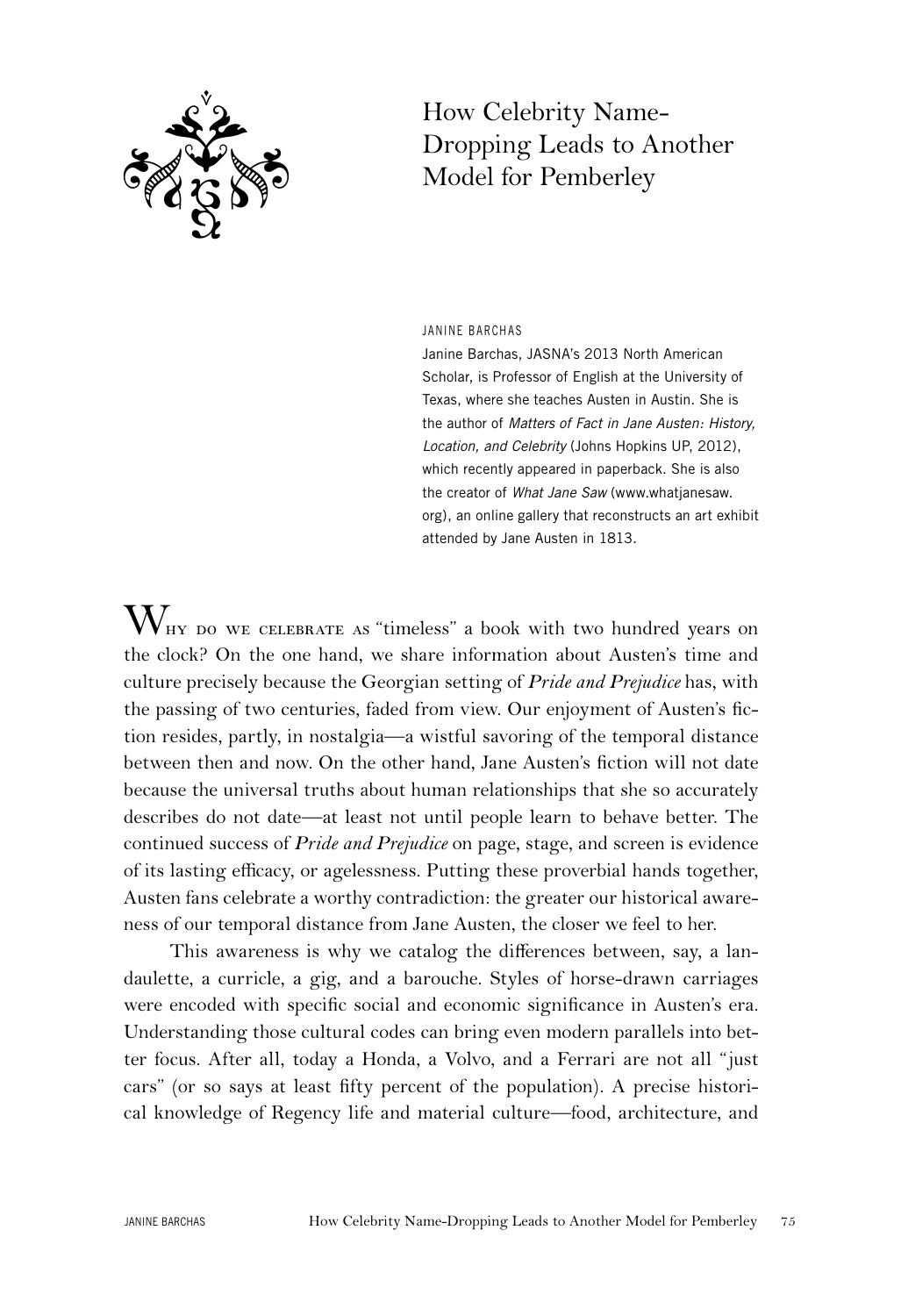

# How Celebrity Name-Dropping Leads to Another Model for Pemberley

### JANINE BARCHAS

Janine Barchas, JASNA's 2013 North American Scholar, is Professor of English at the University of Texas, where she teaches Austen in Austin. She is the author of *Matters of Fact in Jane Austen: History, Location, and Celebrity* (Johns Hopkins UP, 2012), which recently appeared in paperback. She is also the creator of *What Jane Saw* (www.whatjanesaw. org), an online gallery that reconstructs an art exhibit attended by Jane Austen in 1813.

 $W_{\text{HY DO WE CELEBRATE AS}}$  "timeless" a book with two hundred years on the clock? On the one hand, we share information about Austen's time and culture precisely because the Georgian setting of *Pride and Prejudice* has, with the passing of two centuries, faded from view. Our enjoyment of Austen's fiction resides, partly, in nostalgia—a wistful savoring of the temporal distance between then and now. On the other hand, Jane Austen's fiction will not date because the universal truths about human relationships that she so accurately describes do not date—at least not until people learn to behave better. The continued success of *Pride and Prejudice* on page, stage, and screen is evidence of its lasting efficacy, or agelessness. Putting these proverbial hands together, Austen fans celebrate a worthy contradiction: the greater our historical awareness of our temporal distance from Jane Austen, the closer we feel to her.

This awareness is why we catalog the differences between, say, a landaulette, a curricle, a gig, and a barouche. Styles of horse-drawn carriages were encoded with specific social and economic significance in Austen's era. Understanding those cultural codes can bring even modern parallels into better focus. After all, today a Honda, a Volvo, and a Ferrari are not all "just cars" (or so says at least fifty percent of the population). A precise historical knowledge of Regency life and material culture—food, architecture, and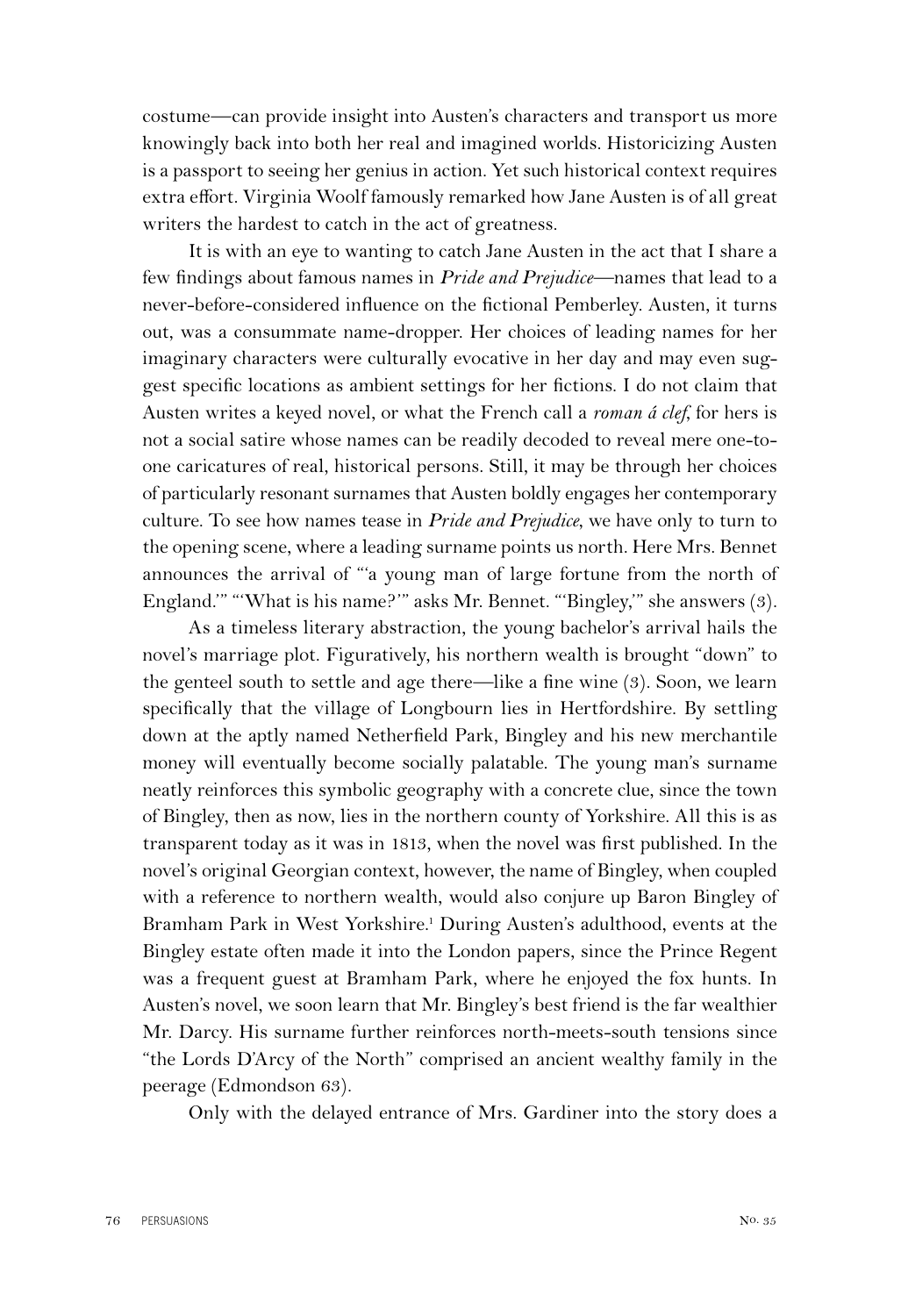costume—can provide insight into Austen's characters and transport us more knowingly back into both her real and imagined worlds. Historicizing Austen is a passport to seeing her genius in action. Yet such historical context requires extra effort. Virginia Woolf famously remarked how Jane Austen is of all great writers the hardest to catch in the act of greatness.

It is with an eye to wanting to catch Jane Austen in the act that I share a few findings about famous names in *Pride and Prejudice*—names that lead to a never-before-considered influence on the fictional Pemberley. Austen, it turns out, was a consummate name-dropper. Her choices of leading names for her imaginary characters were culturally evocative in her day and may even suggest specific locations as ambient settings for her fictions. I do not claim that Austen writes a keyed novel, or what the French call a *roman á clef*, for hers is not a social satire whose names can be readily decoded to reveal mere one-toone caricatures of real, historical persons. Still, it may be through her choices of particularly resonant surnames that Austen boldly engages her contemporary culture. To see how names tease in *Pride and Prejudice*, we have only to turn to the opening scene, where a leading surname points us north. Here Mrs. Bennet announces the arrival of "'a young man of large fortune from the north of England.'" "'What is his name?'" asks Mr. Bennet. "'Bingley,'" she answers (3).

As a timeless literary abstraction, the young bachelor's arrival hails the novel's marriage plot. Figuratively, his northern wealth is brought "down" to the genteel south to settle and age there—like a fine wine (3). Soon, we learn specifically that the village of Longbourn lies in Hertfordshire. By settling down at the aptly named Netherfield Park, Bingley and his new merchantile money will eventually become socially palatable. The young man's surname neatly reinforces this symbolic geography with a concrete clue, since the town of Bingley, then as now, lies in the northern county of Yorkshire. All this is as transparent today as it was in 1813, when the novel was first published. In the novel's original Georgian context, however, the name of Bingley, when coupled with a reference to northern wealth, would also conjure up Baron Bingley of Bramham Park in West Yorkshire.<sup>1</sup> During Austen's adulthood, events at the Bingley estate often made it into the London papers, since the Prince Regent was a frequent guest at Bramham Park, where he enjoyed the fox hunts. In Austen's novel, we soon learn that Mr. Bingley's best friend is the far wealthier Mr. Darcy. His surname further reinforces north-meets-south tensions since "the Lords D'Arcy of the North" comprised an ancient wealthy family in the peerage (Edmondson 63).

Only with the delayed entrance of Mrs. Gardiner into the story does a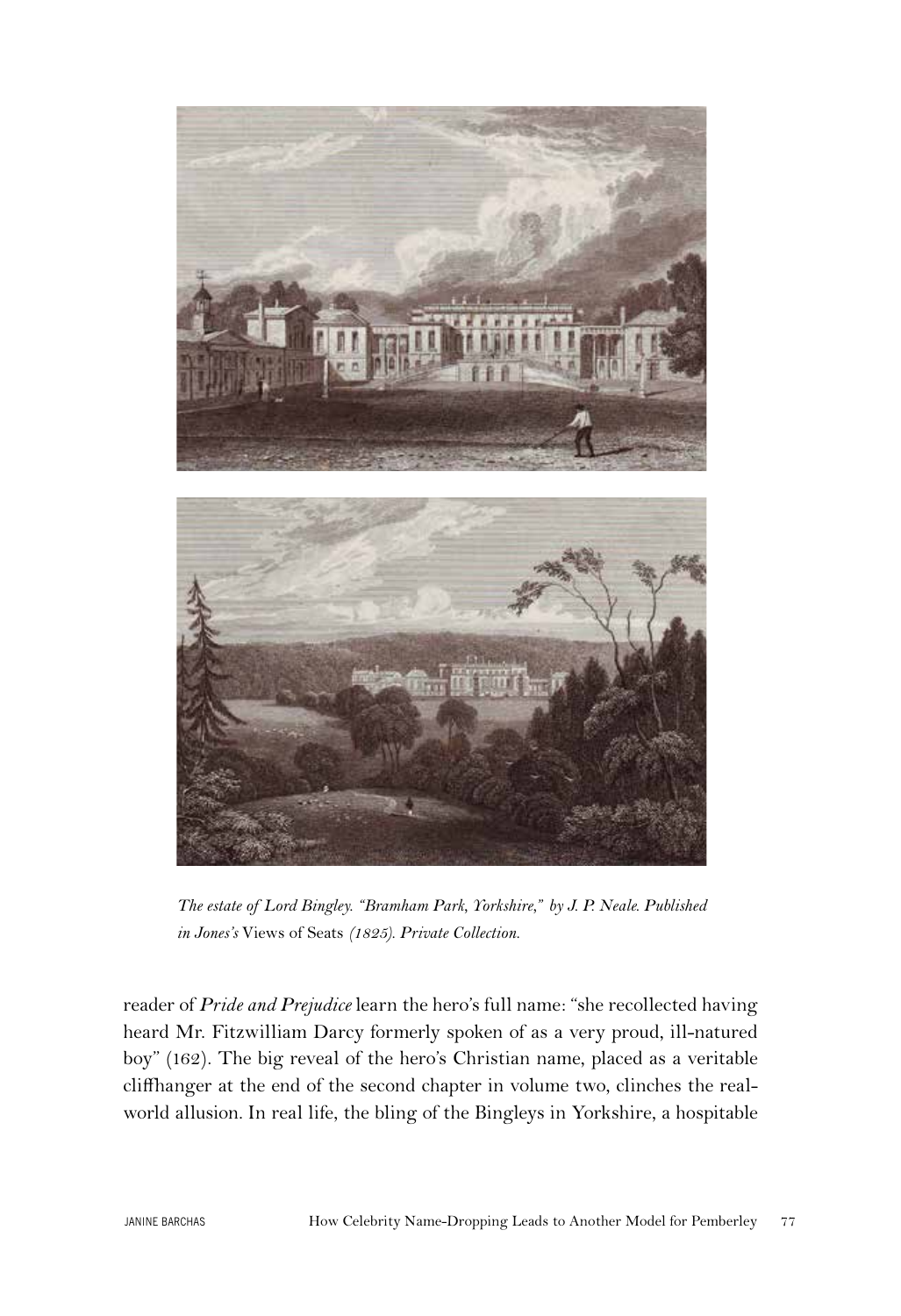

*The estate of Lord Bingley. "Bramham Park, Yorkshire," by J. P. Neale. Published in Jones's* Views of Seats *(1825). Private Collection.*

reader of *Pride and Prejudice* learn the hero's full name: "she recollected having heard Mr. Fitzwilliam Darcy formerly spoken of as a very proud, ill-natured boy" (162). The big reveal of the hero's Christian name, placed as a veritable cliffhanger at the end of the second chapter in volume two, clinches the realworld allusion. In real life, the bling of the Bingleys in Yorkshire, a hospitable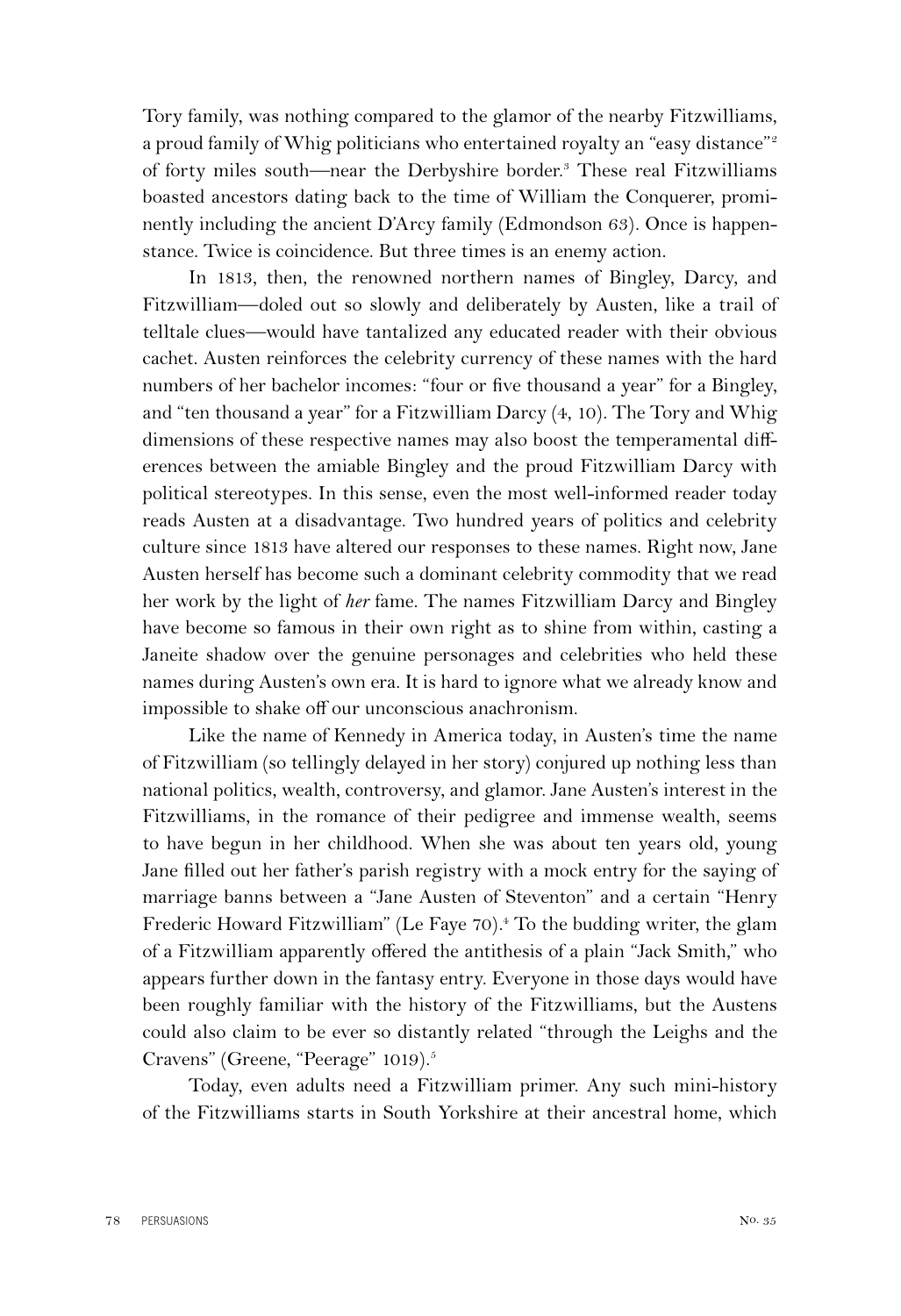Tory family, was nothing compared to the glamor of the nearby Fitzwilliams, a proud family of Whig politicians who entertained royalty an "easy distance"<sup>2</sup> of forty miles south-near the Derbyshire border.<sup>3</sup> These real Fitzwilliams boasted ancestors dating back to the time of William the Conquerer, prominently including the ancient D'Arcy family (Edmondson 63). Once is happenstance. Twice is coincidence. But three times is an enemy action.

In 1813, then, the renowned northern names of Bingley, Darcy, and Fitzwilliam—doled out so slowly and deliberately by Austen, like a trail of telltale clues—would have tantalized any educated reader with their obvious cachet. Austen reinforces the celebrity currency of these names with the hard numbers of her bachelor incomes: "four or five thousand a year" for a Bingley, and "ten thousand a year" for a Fitzwilliam Darcy (4, 10). The Tory and Whig dimensions of these respective names may also boost the temperamental differences between the amiable Bingley and the proud Fitzwilliam Darcy with political stereotypes. In this sense, even the most well-informed reader today reads Austen at a disadvantage. Two hundred years of politics and celebrity culture since 1813 have altered our responses to these names. Right now, Jane Austen herself has become such a dominant celebrity commodity that we read her work by the light of *her* fame. The names Fitzwilliam Darcy and Bingley have become so famous in their own right as to shine from within, casting a Janeite shadow over the genuine personages and celebrities who held these names during Austen's own era. It is hard to ignore what we already know and impossible to shake off our unconscious anachronism.

Like the name of Kennedy in America today, in Austen's time the name of Fitzwilliam (so tellingly delayed in her story) conjured up nothing less than national politics, wealth, controversy, and glamor. Jane Austen's interest in the Fitzwilliams, in the romance of their pedigree and immense wealth, seems to have begun in her childhood. When she was about ten years old, young Jane filled out her father's parish registry with a mock entry for the saying of marriage banns between a "Jane Austen of Steventon" and a certain "Henry Frederic Howard Fitzwilliam" (Le Faye 70).<sup>4</sup> To the budding writer, the glam of a Fitzwilliam apparently offered the antithesis of a plain "Jack Smith," who appears further down in the fantasy entry. Everyone in those days would have been roughly familiar with the history of the Fitzwilliams, but the Austens could also claim to be ever so distantly related "through the Leighs and the Cravens" (Greene, "Peerage" 1019).<sup>5</sup>

Today, even adults need a Fitzwilliam primer. Any such mini-history of the Fitzwilliams starts in South Yorkshire at their ancestral home, which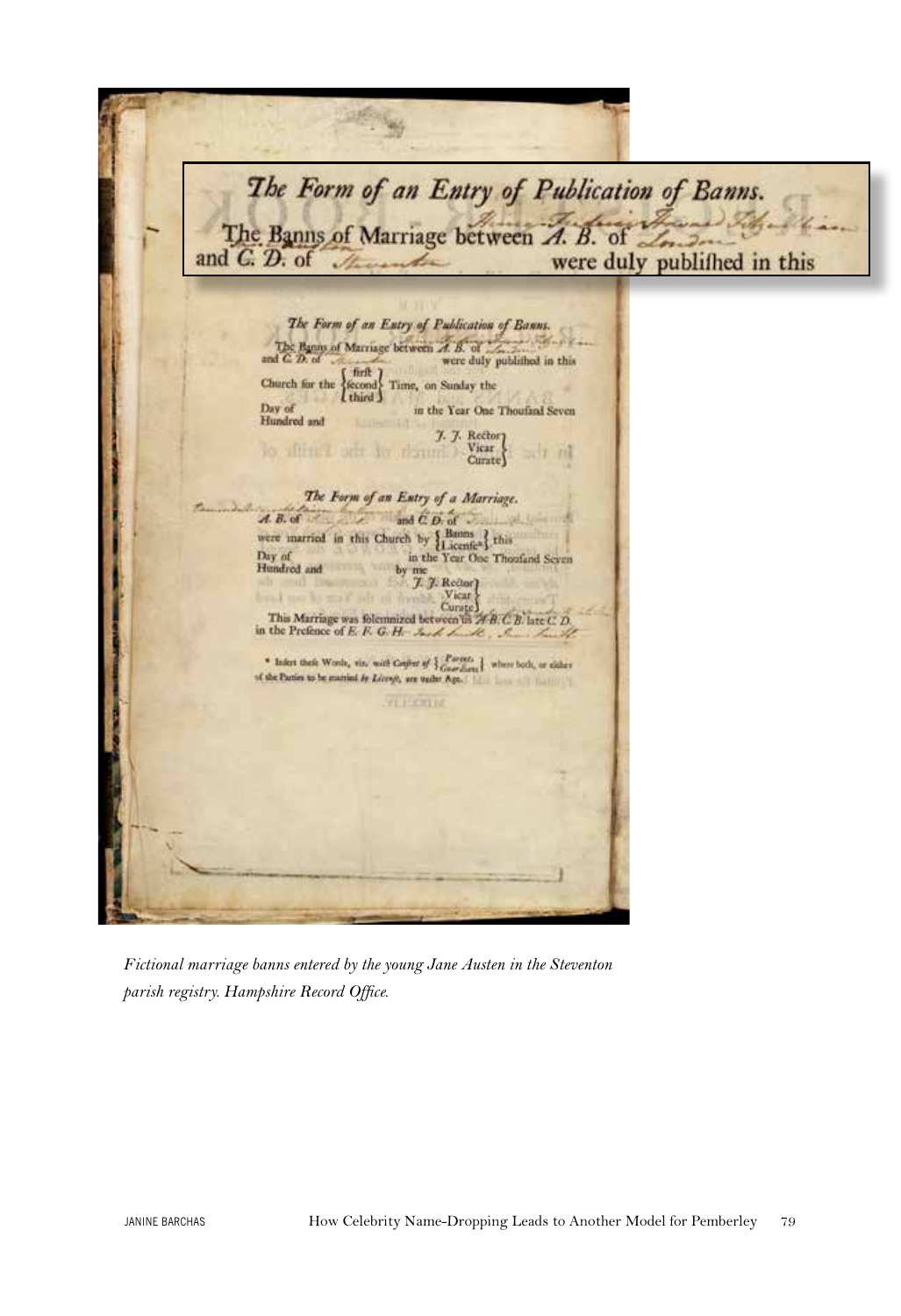The Form of an Entry of Publication of Banns. The Banns of Marriage between A. B. of and C. D. of were duly publifhed in this The Form of an Entry of Publication of Banns. The Banns of Marriage between  $\overrightarrow{A}$ . B. of and C. D. of and C. D. of were duly published in this were duly published in this Church for the  $\left\{\begin{matrix} \text{first} \\ \text{second} \\ \text{third} \end{matrix}\right\}$ Time, on Sunday the Day of in the Year One Thoufand Seven Hundred and 7. 7. Rectory Vicar. lo affrit 1 arti da resunt m  $Carnte$ The Form of an Entry of a Marriage.  $A. B. of$ and C.D. of were married in this Church by Hamms and this Day of the Year One Thousand Seven Hundred and me 7. 7. Redor Vicar This Marriage was folemnized between is  $\overline{AB}$ .  $\overline{CB}$  late  $C$ .  $D$ , in the Prefence of E. F. G. H. \* Infert their Words, via: with Gujint of  $\frac{1}{2}\frac{P_{\text{off}}}{G\text{outflow}}\frac{1}{2}$  where both, or either of the Pariss to be matried by Léony), are under Age.

*Fictional marriage banns entered by the young Jane Austen in the Steventon parish registry. Hampshire Record Office.*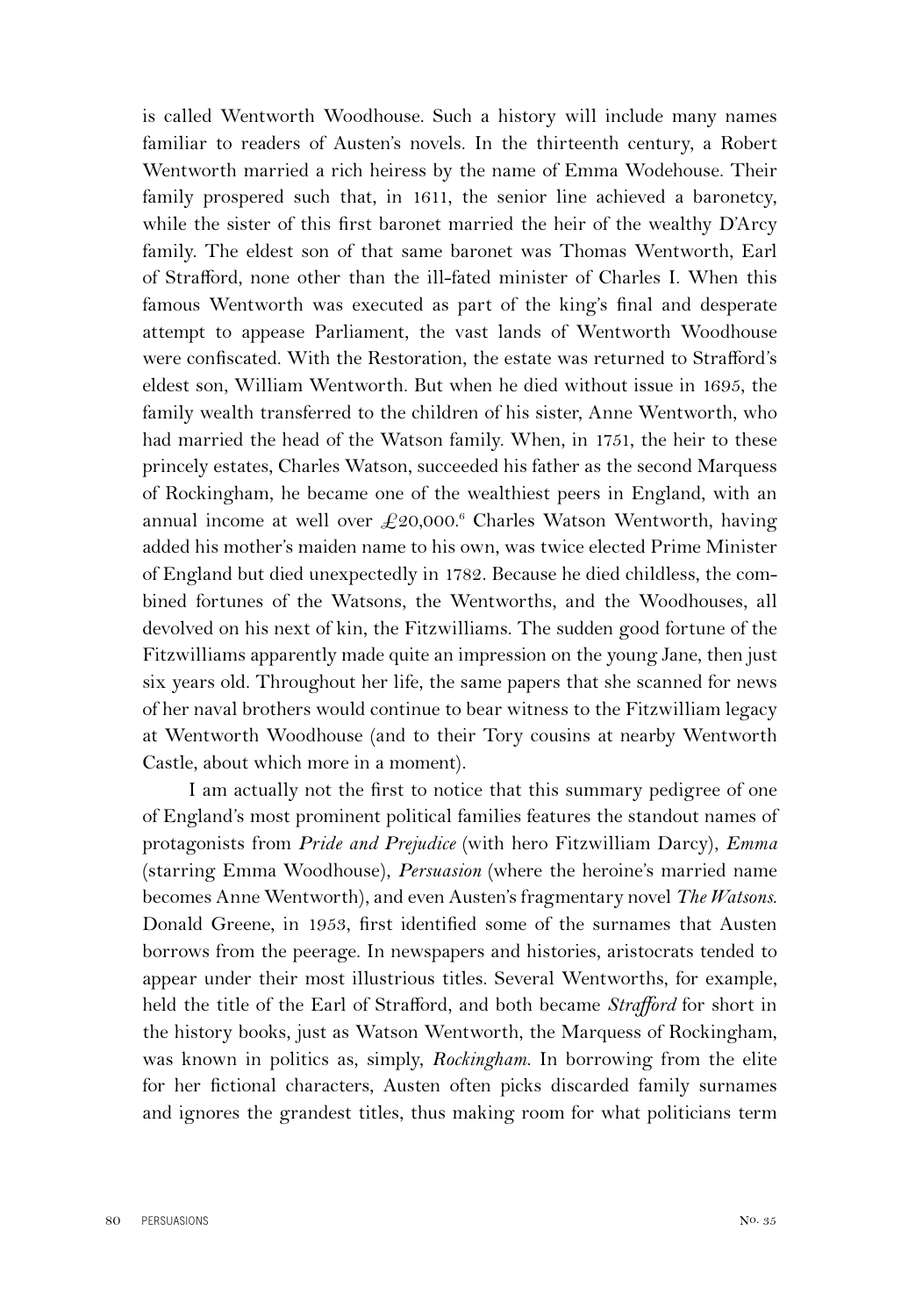is called Wentworth Woodhouse. Such a history will include many names familiar to readers of Austen's novels. In the thirteenth century, a Robert Wentworth married a rich heiress by the name of Emma Wodehouse. Their family prospered such that, in 1611, the senior line achieved a baronetcy, while the sister of this first baronet married the heir of the wealthy D'Arcy family. The eldest son of that same baronet was Thomas Wentworth, Earl of Strafford, none other than the ill-fated minister of Charles I. When this famous Wentworth was executed as part of the king's final and desperate attempt to appease Parliament, the vast lands of Wentworth Woodhouse were confiscated. With the Restoration, the estate was returned to Strafford's eldest son, William Wentworth. But when he died without issue in 1695, the family wealth transferred to the children of his sister, Anne Wentworth, who had married the head of the Watson family. When, in 1751, the heir to these princely estates, Charles Watson, succeeded his father as the second Marquess of Rockingham, he became one of the wealthiest peers in England, with an annual income at well over  $\pounds 20,000$ .<sup>6</sup> Charles Watson Wentworth, having added his mother's maiden name to his own, was twice elected Prime Minister of England but died unexpectedly in 1782. Because he died childless, the combined fortunes of the Watsons, the Wentworths, and the Woodhouses, all devolved on his next of kin, the Fitzwilliams. The sudden good fortune of the Fitzwilliams apparently made quite an impression on the young Jane, then just six years old. Throughout her life, the same papers that she scanned for news of her naval brothers would continue to bear witness to the Fitzwilliam legacy at Wentworth Woodhouse (and to their Tory cousins at nearby Wentworth Castle, about which more in a moment).

I am actually not the first to notice that this summary pedigree of one of England's most prominent political families features the standout names of protagonists from *Pride and Prejudice* (with hero Fitzwilliam Darcy), *Emma*  (starring Emma Woodhouse), *Persuasion* (where the heroine's married name becomes Anne Wentworth), and even Austen's fragmentary novel *The Watsons*. Donald Greene, in 1953, first identified some of the surnames that Austen borrows from the peerage. In newspapers and histories, aristocrats tended to appear under their most illustrious titles. Several Wentworths, for example, held the title of the Earl of Strafford, and both became *Strafford* for short in the history books, just as Watson Wentworth, the Marquess of Rockingham, was known in politics as, simply, *Rockingham*. In borrowing from the elite for her fictional characters, Austen often picks discarded family surnames and ignores the grandest titles, thus making room for what politicians term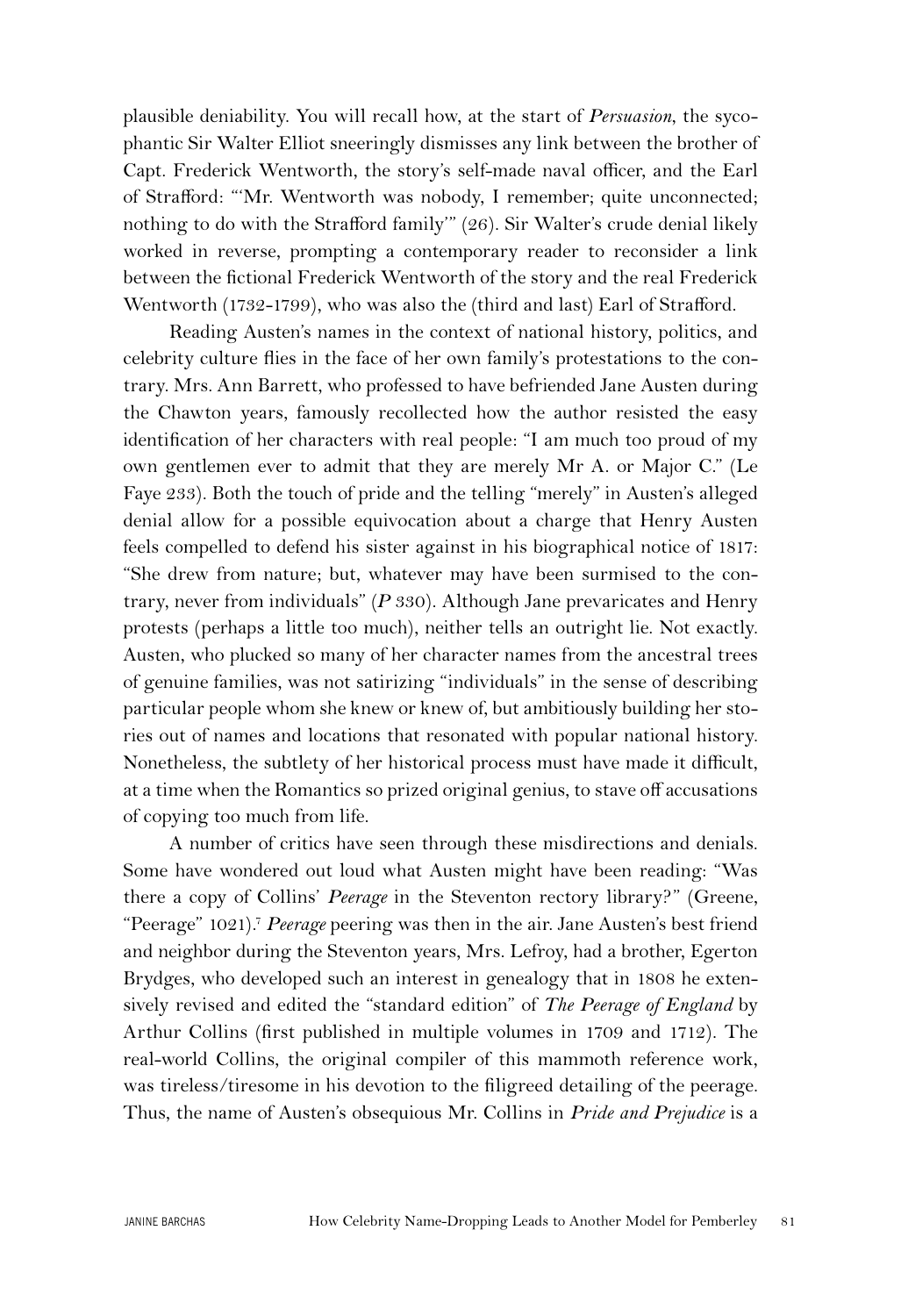plausible deniability. You will recall how, at the start of *Persuasion*, the sycophantic Sir Walter Elliot sneeringly dismisses any link between the brother of Capt. Frederick Wentworth, the story's self-made naval officer, and the Earl of Strafford: "'Mr. Wentworth was nobody, I remember; quite unconnected; nothing to do with the Strafford family" (26). Sir Walter's crude denial likely worked in reverse, prompting a contemporary reader to reconsider a link between the fictional Frederick Wentworth of the story and the real Frederick Wentworth (1732-1799), who was also the (third and last) Earl of Strafford.

Reading Austen's names in the context of national history, politics, and celebrity culture flies in the face of her own family's protestations to the contrary. Mrs. Ann Barrett, who professed to have befriended Jane Austen during the Chawton years, famously recollected how the author resisted the easy identification of her characters with real people: "I am much too proud of my own gentlemen ever to admit that they are merely Mr A. or Major C." (Le Faye 233). Both the touch of pride and the telling "merely" in Austen's alleged denial allow for a possible equivocation about a charge that Henry Austen feels compelled to defend his sister against in his biographical notice of 1817: "She drew from nature; but, whatever may have been surmised to the contrary, never from individuals" (*P* 330). Although Jane prevaricates and Henry protests (perhaps a little too much), neither tells an outright lie. Not exactly. Austen, who plucked so many of her character names from the ancestral trees of genuine families, was not satirizing "individuals" in the sense of describing particular people whom she knew or knew of, but ambitiously building her stories out of names and locations that resonated with popular national history. Nonetheless, the subtlety of her historical process must have made it difficult, at a time when the Romantics so prized original genius, to stave off accusations of copying too much from life.

A number of critics have seen through these misdirections and denials. Some have wondered out loud what Austen might have been reading: "Was there a copy of Collins' *Peerage* in the Steventon rectory library?" (Greene, "Peerage" 1021).7 *Peerage* peering was then in the air. Jane Austen's best friend and neighbor during the Steventon years, Mrs. Lefroy, had a brother, Egerton Brydges, who developed such an interest in genealogy that in 1808 he extensively revised and edited the "standard edition" of *The Peerage of England* by Arthur Collins (first published in multiple volumes in 1709 and 1712). The real-world Collins, the original compiler of this mammoth reference work, was tireless/tiresome in his devotion to the filigreed detailing of the peerage. Thus, the name of Austen's obsequious Mr. Collins in *Pride and Prejudice* is a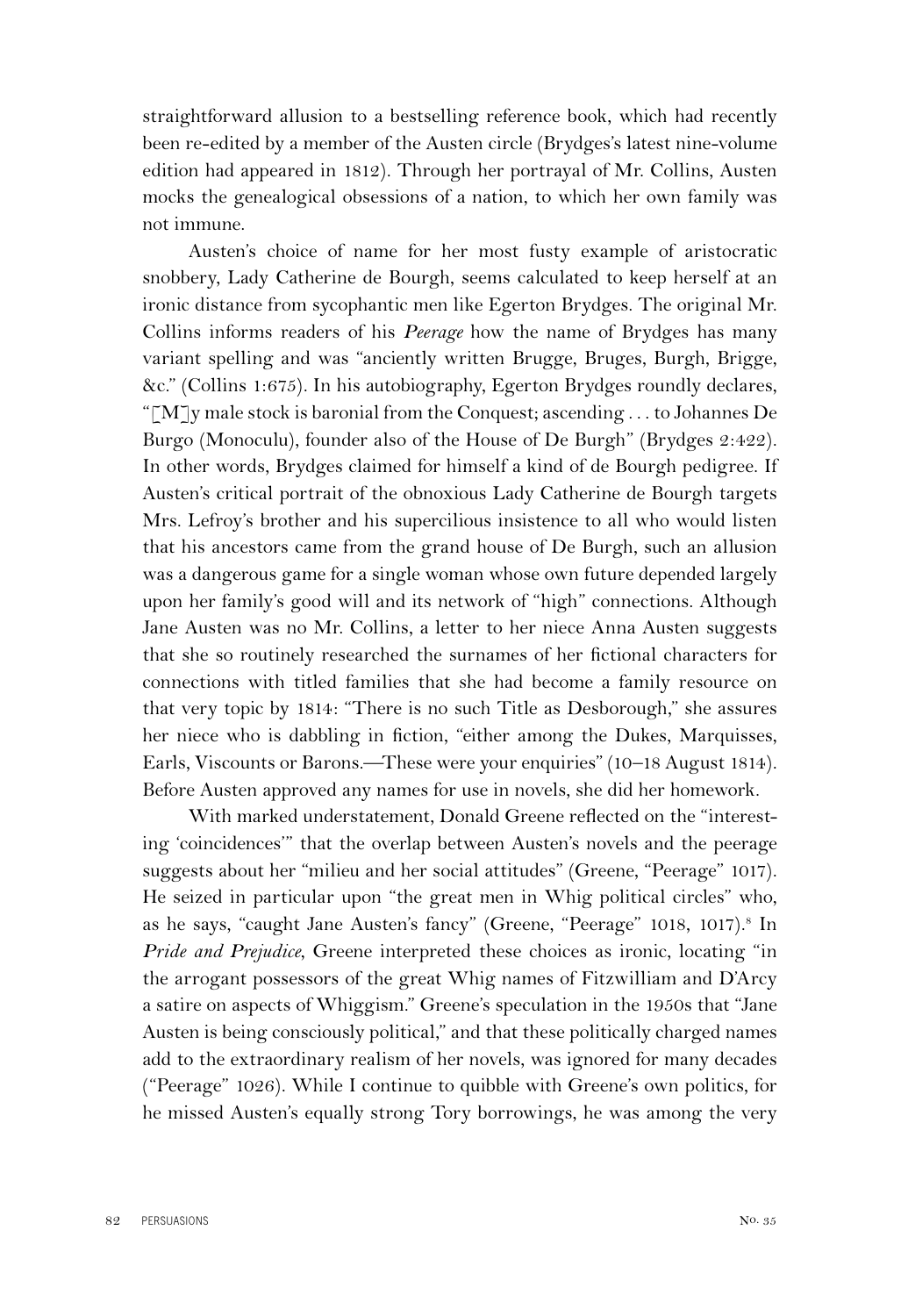straightforward allusion to a bestselling reference book, which had recently been re-edited by a member of the Austen circle (Brydges's latest nine-volume edition had appeared in 1812). Through her portrayal of Mr. Collins, Austen mocks the genealogical obsessions of a nation, to which her own family was not immune.

Austen's choice of name for her most fusty example of aristocratic snobbery, Lady Catherine de Bourgh, seems calculated to keep herself at an ironic distance from sycophantic men like Egerton Brydges. The original Mr. Collins informs readers of his *Peerage* how the name of Brydges has many variant spelling and was "anciently written Brugge, Bruges, Burgh, Brigge, &c." (Collins 1:675). In his autobiography, Egerton Brydges roundly declares, "[M]<sub>y</sub> male stock is baronial from the Conquest; ascending . . . to Johannes De Burgo (Monoculu), founder also of the House of De Burgh" (Brydges 2:422). In other words, Brydges claimed for himself a kind of de Bourgh pedigree. If Austen's critical portrait of the obnoxious Lady Catherine de Bourgh targets Mrs. Lefroy's brother and his supercilious insistence to all who would listen that his ancestors came from the grand house of De Burgh, such an allusion was a dangerous game for a single woman whose own future depended largely upon her family's good will and its network of "high" connections. Although Jane Austen was no Mr. Collins, a letter to her niece Anna Austen suggests that she so routinely researched the surnames of her fictional characters for connections with titled families that she had become a family resource on that very topic by 1814: "There is no such Title as Desborough," she assures her niece who is dabbling in fiction, "either among the Dukes, Marquisses, Earls, Viscounts or Barons.—These were your enquiries" (10–18 August 1814). Before Austen approved any names for use in novels, she did her homework.

With marked understatement, Donald Greene reflected on the "interesting 'coincidences'" that the overlap between Austen's novels and the peerage suggests about her "milieu and her social attitudes" (Greene, "Peerage" 1017). He seized in particular upon "the great men in Whig political circles" who, as he says, "caught Jane Austen's fancy" (Greene, "Peerage" 1018, 1017).<sup>8</sup> In *Pride and Prejudice*, Greene interpreted these choices as ironic, locating "in the arrogant possessors of the great Whig names of Fitzwilliam and D'Arcy a satire on aspects of Whiggism." Greene's speculation in the 1950s that "Jane Austen is being consciously political," and that these politically charged names add to the extraordinary realism of her novels, was ignored for many decades ("Peerage" 1026). While I continue to quibble with Greene's own politics, for he missed Austen's equally strong Tory borrowings, he was among the very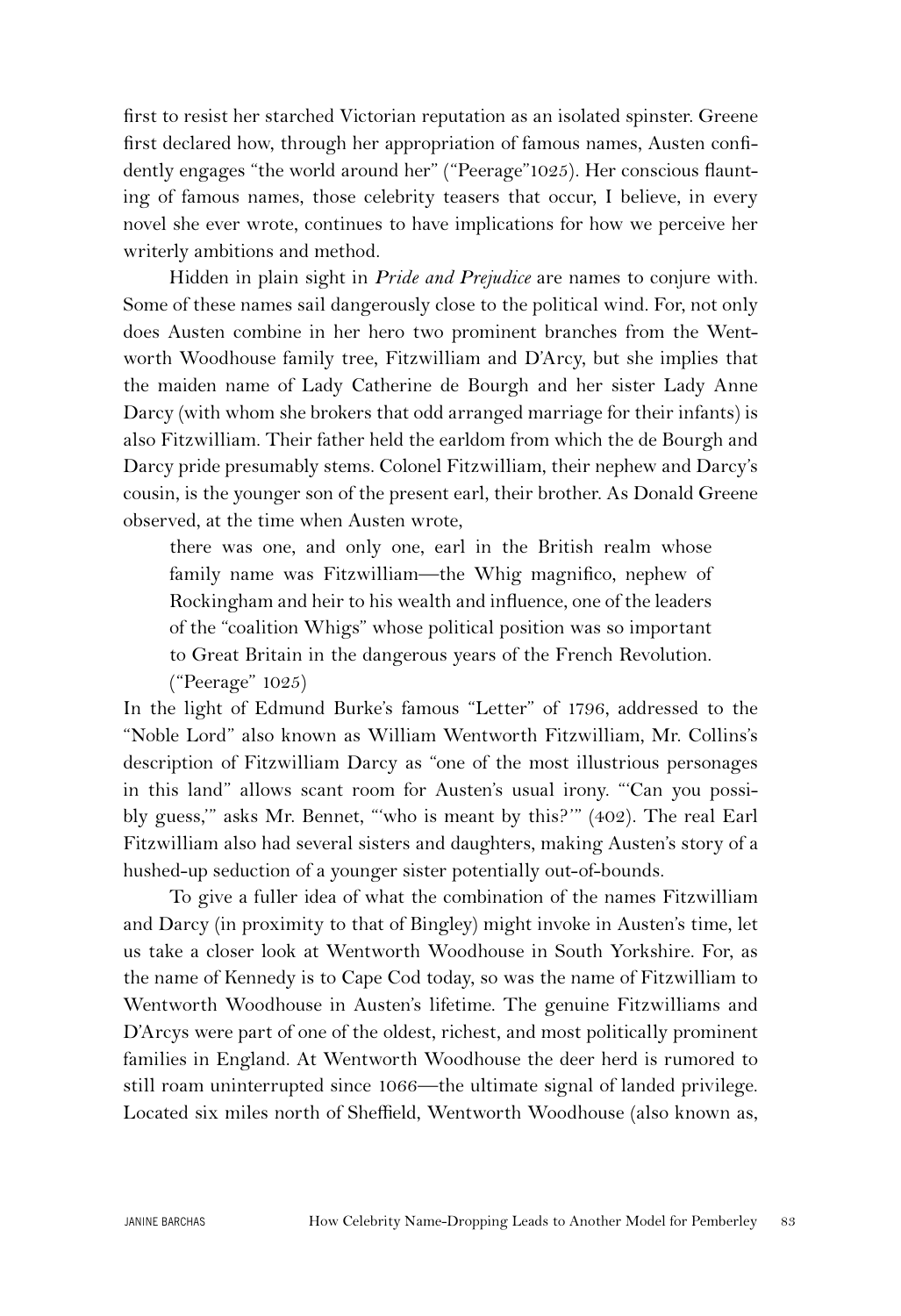first to resist her starched Victorian reputation as an isolated spinster. Greene first declared how, through her appropriation of famous names, Austen confidently engages "the world around her" ("Peerage"1025). Her conscious flaunting of famous names, those celebrity teasers that occur, I believe, in every novel she ever wrote, continues to have implications for how we perceive her writerly ambitions and method.

Hidden in plain sight in *Pride and Prejudice* are names to conjure with. Some of these names sail dangerously close to the political wind. For, not only does Austen combine in her hero two prominent branches from the Wentworth Woodhouse family tree, Fitzwilliam and D'Arcy, but she implies that the maiden name of Lady Catherine de Bourgh and her sister Lady Anne Darcy (with whom she brokers that odd arranged marriage for their infants) is also Fitzwilliam. Their father held the earldom from which the de Bourgh and Darcy pride presumably stems. Colonel Fitzwilliam, their nephew and Darcy's cousin, is the younger son of the present earl, their brother. As Donald Greene observed, at the time when Austen wrote,

there was one, and only one, earl in the British realm whose family name was Fitzwilliam—the Whig magnifico, nephew of Rockingham and heir to his wealth and influence, one of the leaders of the "coalition Whigs" whose political position was so important to Great Britain in the dangerous years of the French Revolution. ("Peerage" 1025)

In the light of Edmund Burke's famous "Letter" of 1796, addressed to the "Noble Lord" also known as William Wentworth Fitzwilliam, Mr. Collins's description of Fitzwilliam Darcy as "one of the most illustrious personages in this land" allows scant room for Austen's usual irony. "'Can you possibly guess,'" asks Mr. Bennet, "'who is meant by this?'" (402). The real Earl Fitzwilliam also had several sisters and daughters, making Austen's story of a hushed-up seduction of a younger sister potentially out-of-bounds.

To give a fuller idea of what the combination of the names Fitzwilliam and Darcy (in proximity to that of Bingley) might invoke in Austen's time, let us take a closer look at Wentworth Woodhouse in South Yorkshire. For, as the name of Kennedy is to Cape Cod today, so was the name of Fitzwilliam to Wentworth Woodhouse in Austen's lifetime. The genuine Fitzwilliams and D'Arcys were part of one of the oldest, richest, and most politically prominent families in England. At Wentworth Woodhouse the deer herd is rumored to still roam uninterrupted since 1066—the ultimate signal of landed privilege. Located six miles north of Sheffield, Wentworth Woodhouse (also known as,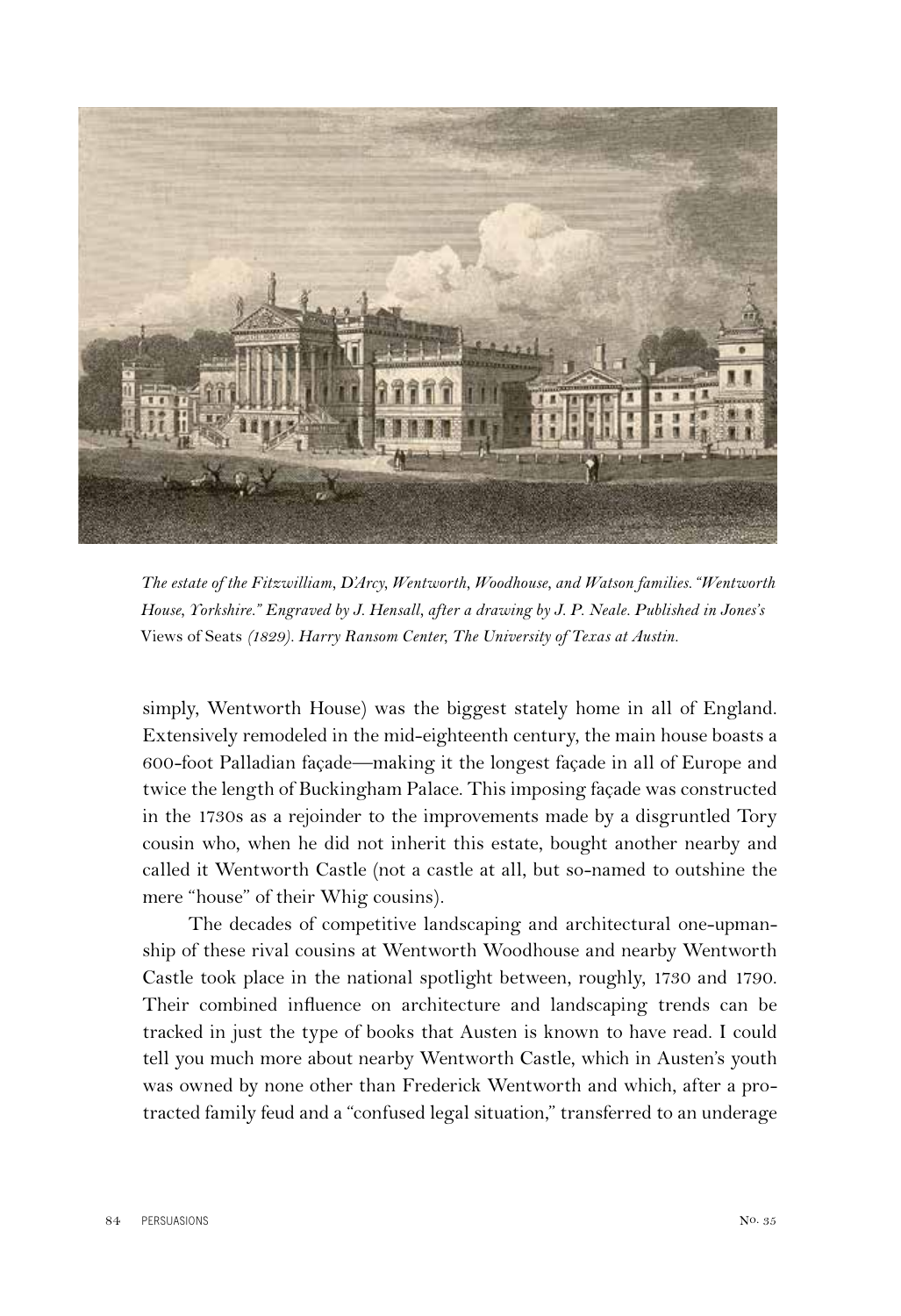

*The estate of the Fitzwilliam, D'Arcy, Wentworth, Woodhouse, and Watson families."Wentworth House, Yorkshire." Engraved by J. Hensall, after a drawing by J. P. Neale. Published in Jones's*  Views of Seats *(1829). Harry Ransom Center, The University of Texas at Austin.*

simply, Wentworth House) was the biggest stately home in all of England. Extensively remodeled in the mid-eighteenth century, the main house boasts a 600-foot Palladian façade—making it the longest façade in all of Europe and twice the length of Buckingham Palace. This imposing façade was constructed in the 1730s as a rejoinder to the improvements made by a disgruntled Tory cousin who, when he did not inherit this estate, bought another nearby and called it Wentworth Castle (not a castle at all, but so-named to outshine the mere "house" of their Whig cousins).

The decades of competitive landscaping and architectural one-upmanship of these rival cousins at Wentworth Woodhouse and nearby Wentworth Castle took place in the national spotlight between, roughly, 1730 and 1790. Their combined influence on architecture and landscaping trends can be tracked in just the type of books that Austen is known to have read. I could tell you much more about nearby Wentworth Castle, which in Austen's youth was owned by none other than Frederick Wentworth and which, after a protracted family feud and a "confused legal situation," transferred to an underage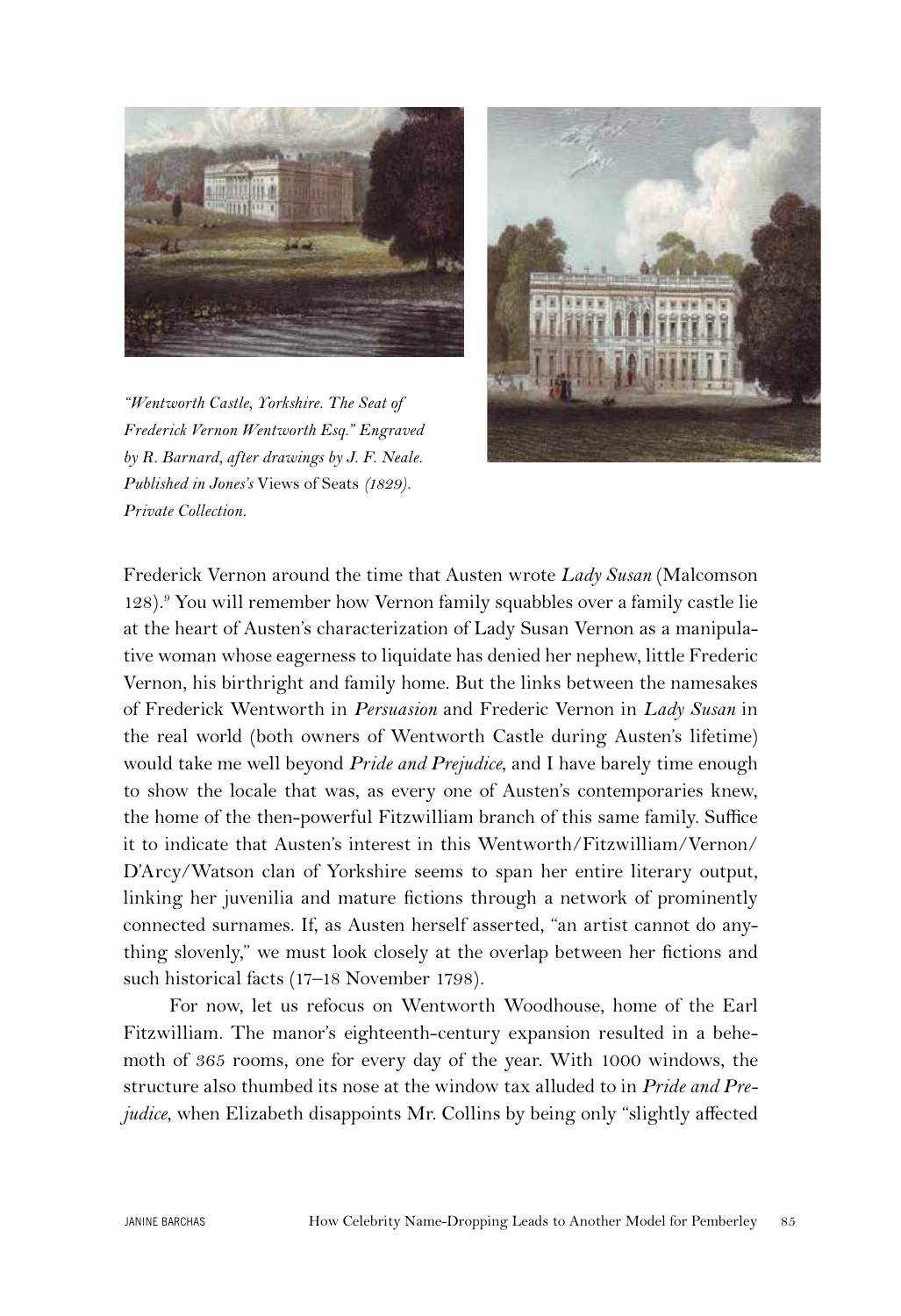

*"Wentworth Castle, Yorkshire. The Seat of Frederick Vernon Wentworth Esq." Engraved by R. Barnard, after drawings by J. F. Neale. Published in Jones's* Views of Seats *(1829). Private Collection.*



Frederick Vernon around the time that Austen wrote *Lady Susan* (Malcomson 128).<sup>9</sup> You will remember how Vernon family squabbles over a family castle lie at the heart of Austen's characterization of Lady Susan Vernon as a manipulative woman whose eagerness to liquidate has denied her nephew, little Frederic Vernon, his birthright and family home. But the links between the namesakes of Frederick Wentworth in *Persuasion* and Frederic Vernon in *Lady Susan* in the real world (both owners of Wentworth Castle during Austen's lifetime) would take me well beyond *Pride and Prejudice*, and I have barely time enough to show the locale that was, as every one of Austen's contemporaries knew, the home of the then-powerful Fitzwilliam branch of this same family. Suffice it to indicate that Austen's interest in this Wentworth/Fitzwilliam/Vernon/ D'Arcy/Watson clan of Yorkshire seems to span her entire literary output, linking her juvenilia and mature fictions through a network of prominently connected surnames. If, as Austen herself asserted, "an artist cannot do anything slovenly," we must look closely at the overlap between her fictions and such historical facts (17–18 November 1798).

For now, let us refocus on Wentworth Woodhouse, home of the Earl Fitzwilliam. The manor's eighteenth-century expansion resulted in a behemoth of 365 rooms, one for every day of the year. With 1000 windows, the structure also thumbed its nose at the window tax alluded to in *Pride and Prejudice*, when Elizabeth disappoints Mr. Collins by being only "slightly affected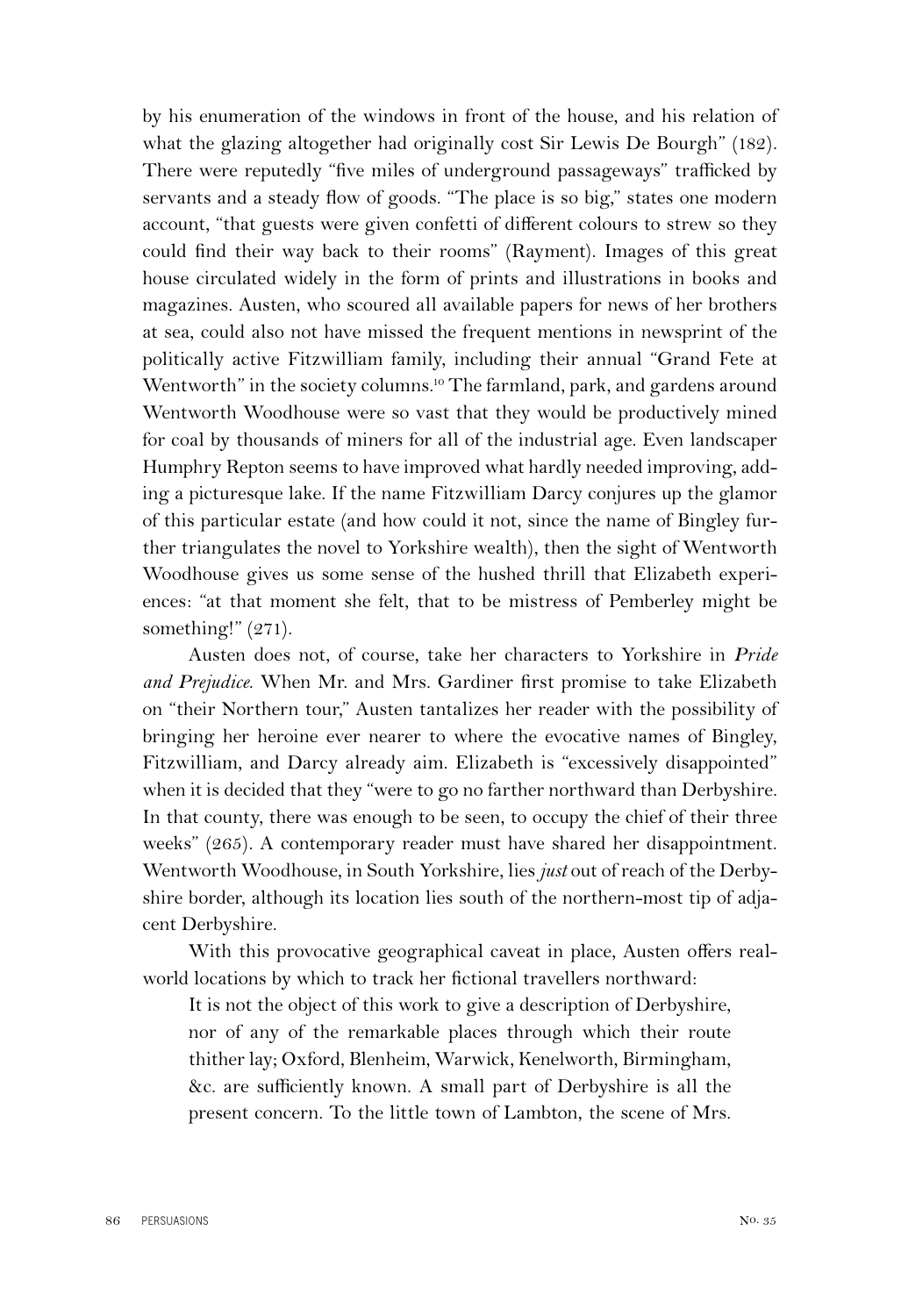by his enumeration of the windows in front of the house, and his relation of what the glazing altogether had originally cost Sir Lewis De Bourgh" (182). There were reputedly "five miles of underground passageways" trafficked by servants and a steady flow of goods. "The place is so big," states one modern account, "that guests were given confetti of different colours to strew so they could find their way back to their rooms" (Rayment). Images of this great house circulated widely in the form of prints and illustrations in books and magazines. Austen, who scoured all available papers for news of her brothers at sea, could also not have missed the frequent mentions in newsprint of the politically active Fitzwilliam family, including their annual "Grand Fete at Wentworth" in the society columns.<sup>10</sup> The farmland, park, and gardens around Wentworth Woodhouse were so vast that they would be productively mined for coal by thousands of miners for all of the industrial age. Even landscaper Humphry Repton seems to have improved what hardly needed improving, adding a picturesque lake. If the name Fitzwilliam Darcy conjures up the glamor of this particular estate (and how could it not, since the name of Bingley further triangulates the novel to Yorkshire wealth), then the sight of Wentworth Woodhouse gives us some sense of the hushed thrill that Elizabeth experiences: "at that moment she felt, that to be mistress of Pemberley might be something!" (271).

Austen does not, of course, take her characters to Yorkshire in *Pride and Prejudice*. When Mr. and Mrs. Gardiner first promise to take Elizabeth on "their Northern tour," Austen tantalizes her reader with the possibility of bringing her heroine ever nearer to where the evocative names of Bingley, Fitzwilliam, and Darcy already aim. Elizabeth is "excessively disappointed" when it is decided that they "were to go no farther northward than Derbyshire. In that county, there was enough to be seen, to occupy the chief of their three weeks" (265). A contemporary reader must have shared her disappointment. Wentworth Woodhouse, in South Yorkshire, lies *just* out of reach of the Derbyshire border, although its location lies south of the northern-most tip of adjacent Derbyshire.

With this provocative geographical caveat in place, Austen offers realworld locations by which to track her fictional travellers northward:

It is not the object of this work to give a description of Derbyshire, nor of any of the remarkable places through which their route thither lay; Oxford, Blenheim, Warwick, Kenelworth, Birmingham, &c. are sufficiently known. A small part of Derbyshire is all the present concern. To the little town of Lambton, the scene of Mrs.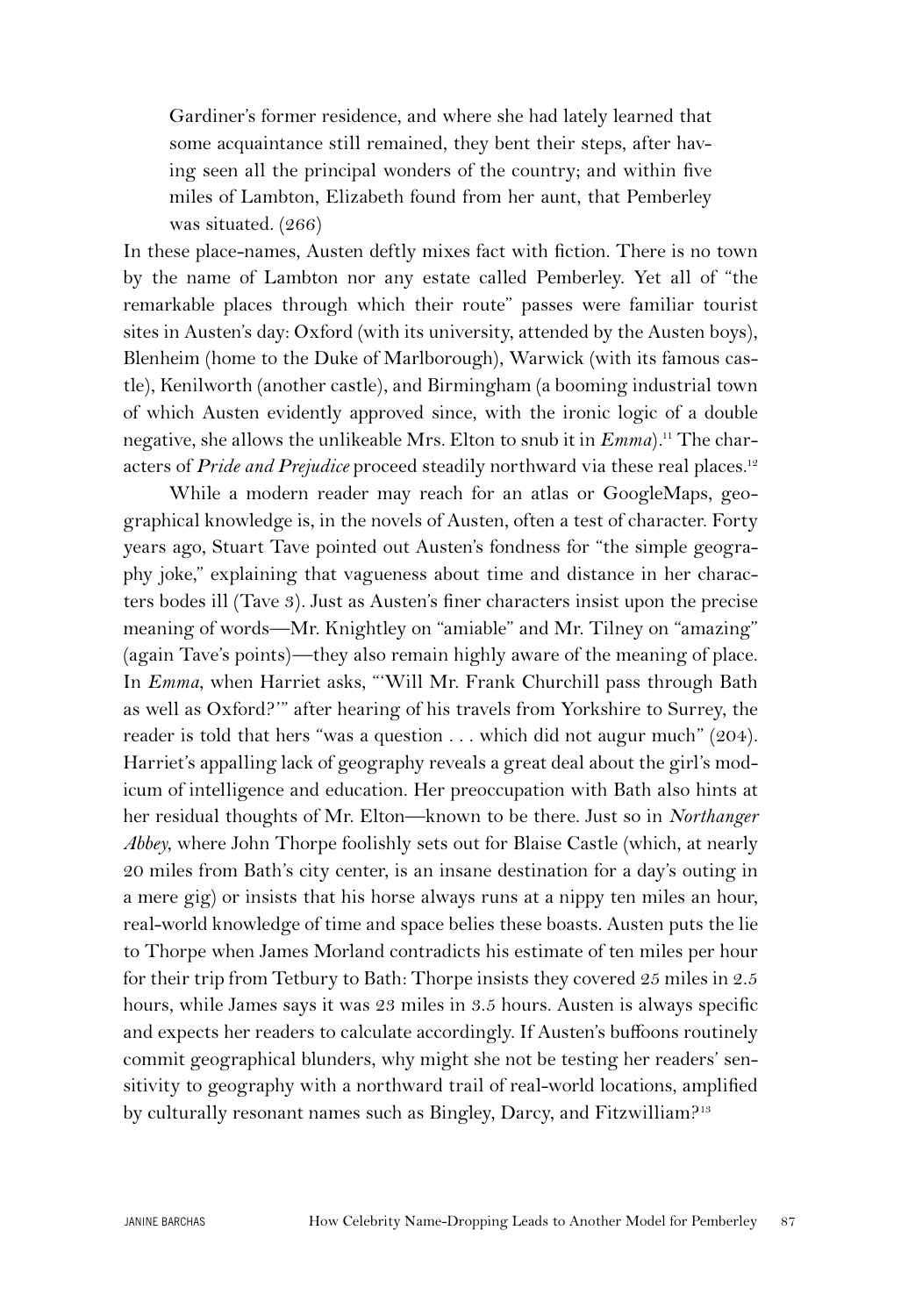Gardiner's former residence, and where she had lately learned that some acquaintance still remained, they bent their steps, after having seen all the principal wonders of the country; and within five miles of Lambton, Elizabeth found from her aunt, that Pemberley was situated. (266)

In these place-names, Austen deftly mixes fact with fiction. There is no town by the name of Lambton nor any estate called Pemberley. Yet all of "the remarkable places through which their route" passes were familiar tourist sites in Austen's day: Oxford (with its university, attended by the Austen boys), Blenheim (home to the Duke of Marlborough), Warwick (with its famous castle), Kenilworth (another castle), and Birmingham (a booming industrial town of which Austen evidently approved since, with the ironic logic of a double negative, she allows the unlikeable Mrs. Elton to snub it in  $Emma$ .<sup>11</sup> The characters of *Pride and Prejudice* proceed steadily northward via these real places.<sup>12</sup>

While a modern reader may reach for an atlas or GoogleMaps, geographical knowledge is, in the novels of Austen, often a test of character. Forty years ago, Stuart Tave pointed out Austen's fondness for "the simple geography joke," explaining that vagueness about time and distance in her characters bodes ill (Tave 3). Just as Austen's finer characters insist upon the precise meaning of words—Mr. Knightley on "amiable" and Mr. Tilney on "amazing" (again Tave's points)—they also remain highly aware of the meaning of place. In *Emma*, when Harriet asks, "'Will Mr. Frank Churchill pass through Bath as well as Oxford?'" after hearing of his travels from Yorkshire to Surrey, the reader is told that hers "was a question . . . which did not augur much" (204). Harriet's appalling lack of geography reveals a great deal about the girl's modicum of intelligence and education. Her preoccupation with Bath also hints at her residual thoughts of Mr. Elton—known to be there. Just so in *Northanger Abbey*, where John Thorpe foolishly sets out for Blaise Castle (which, at nearly 20 miles from Bath's city center, is an insane destination for a day's outing in a mere gig) or insists that his horse always runs at a nippy ten miles an hour, real-world knowledge of time and space belies these boasts. Austen puts the lie to Thorpe when James Morland contradicts his estimate of ten miles per hour for their trip from Tetbury to Bath: Thorpe insists they covered 25 miles in 2.5 hours, while James says it was 23 miles in 3.5 hours. Austen is always specific and expects her readers to calculate accordingly. If Austen's buffoons routinely commit geographical blunders, why might she not be testing her readers' sensitivity to geography with a northward trail of real-world locations, amplified by culturally resonant names such as Bingley, Darcy, and Fitzwilliam?<sup>13</sup>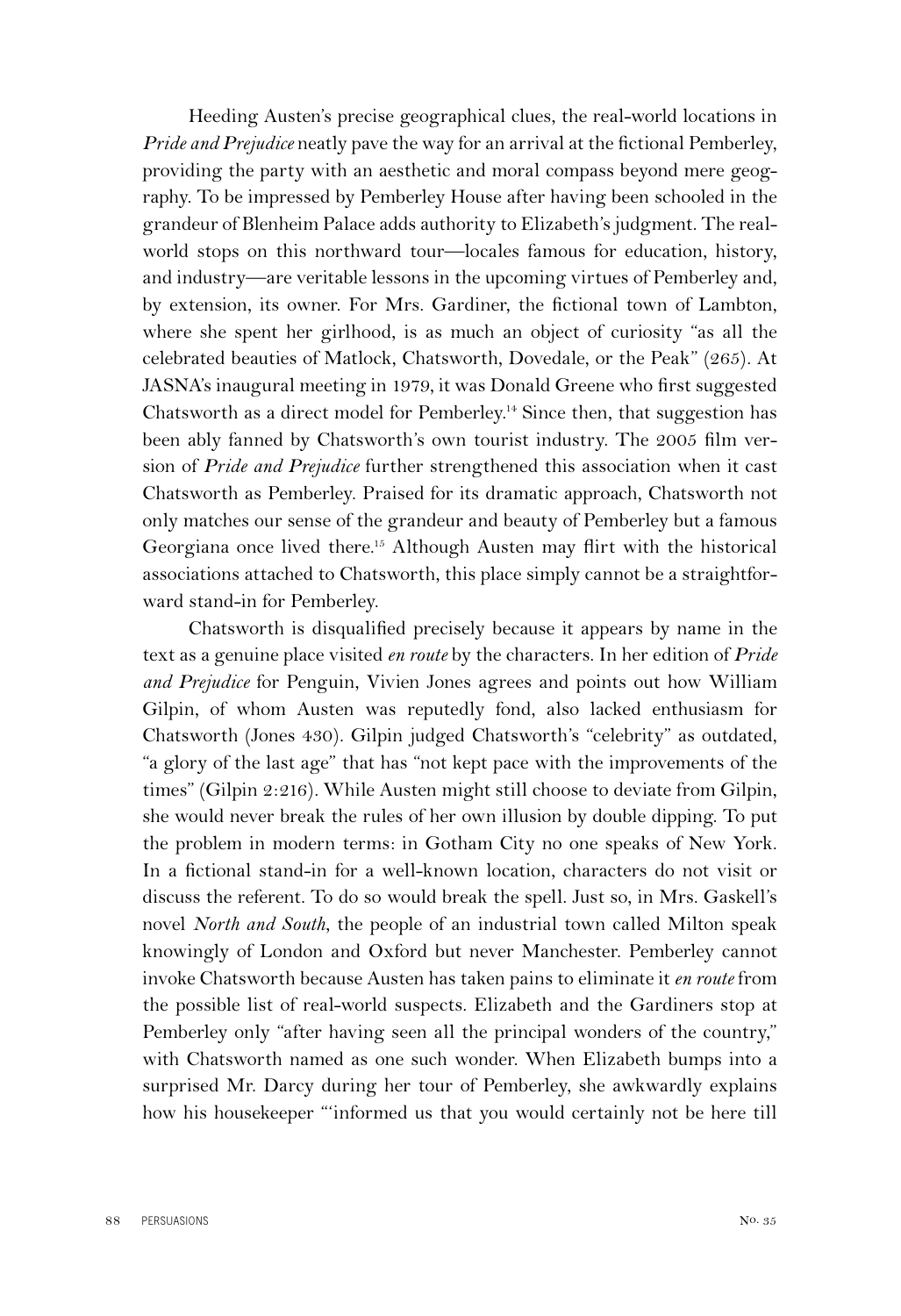Heeding Austen's precise geographical clues, the real-world locations in *Pride and Prejudice* neatly pave the way for an arrival at the fictional Pemberley, providing the party with an aesthetic and moral compass beyond mere geography. To be impressed by Pemberley House after having been schooled in the grandeur of Blenheim Palace adds authority to Elizabeth's judgment. The realworld stops on this northward tour—locales famous for education, history, and industry—are veritable lessons in the upcoming virtues of Pemberley and, by extension, its owner. For Mrs. Gardiner, the fictional town of Lambton, where she spent her girlhood, is as much an object of curiosity "as all the celebrated beauties of Matlock, Chatsworth, Dovedale, or the Peak" (265). At JASNA's inaugural meeting in 1979, it was Donald Greene who first suggested Chatsworth as a direct model for Pemberley.14 Since then, that suggestion has been ably fanned by Chatsworth's own tourist industry. The 2005 film version of *Pride and Prejudice* further strengthened this association when it cast Chatsworth as Pemberley. Praised for its dramatic approach, Chatsworth not only matches our sense of the grandeur and beauty of Pemberley but a famous Georgiana once lived there.15 Although Austen may flirt with the historical associations attached to Chatsworth, this place simply cannot be a straightforward stand-in for Pemberley.

Chatsworth is disqualified precisely because it appears by name in the text as a genuine place visited *en route* by the characters. In her edition of *Pride and Prejudice* for Penguin, Vivien Jones agrees and points out how William Gilpin, of whom Austen was reputedly fond, also lacked enthusiasm for Chatsworth (Jones 430). Gilpin judged Chatsworth's "celebrity" as outdated, "a glory of the last age" that has "not kept pace with the improvements of the times" (Gilpin 2:216). While Austen might still choose to deviate from Gilpin, she would never break the rules of her own illusion by double dipping. To put the problem in modern terms: in Gotham City no one speaks of New York. In a fictional stand-in for a well-known location, characters do not visit or discuss the referent. To do so would break the spell. Just so, in Mrs. Gaskell's novel *North and South*, the people of an industrial town called Milton speak knowingly of London and Oxford but never Manchester. Pemberley cannot invoke Chatsworth because Austen has taken pains to eliminate it *en route* from the possible list of real-world suspects. Elizabeth and the Gardiners stop at Pemberley only "after having seen all the principal wonders of the country," with Chatsworth named as one such wonder. When Elizabeth bumps into a surprised Mr. Darcy during her tour of Pemberley, she awkwardly explains how his housekeeper "'informed us that you would certainly not be here till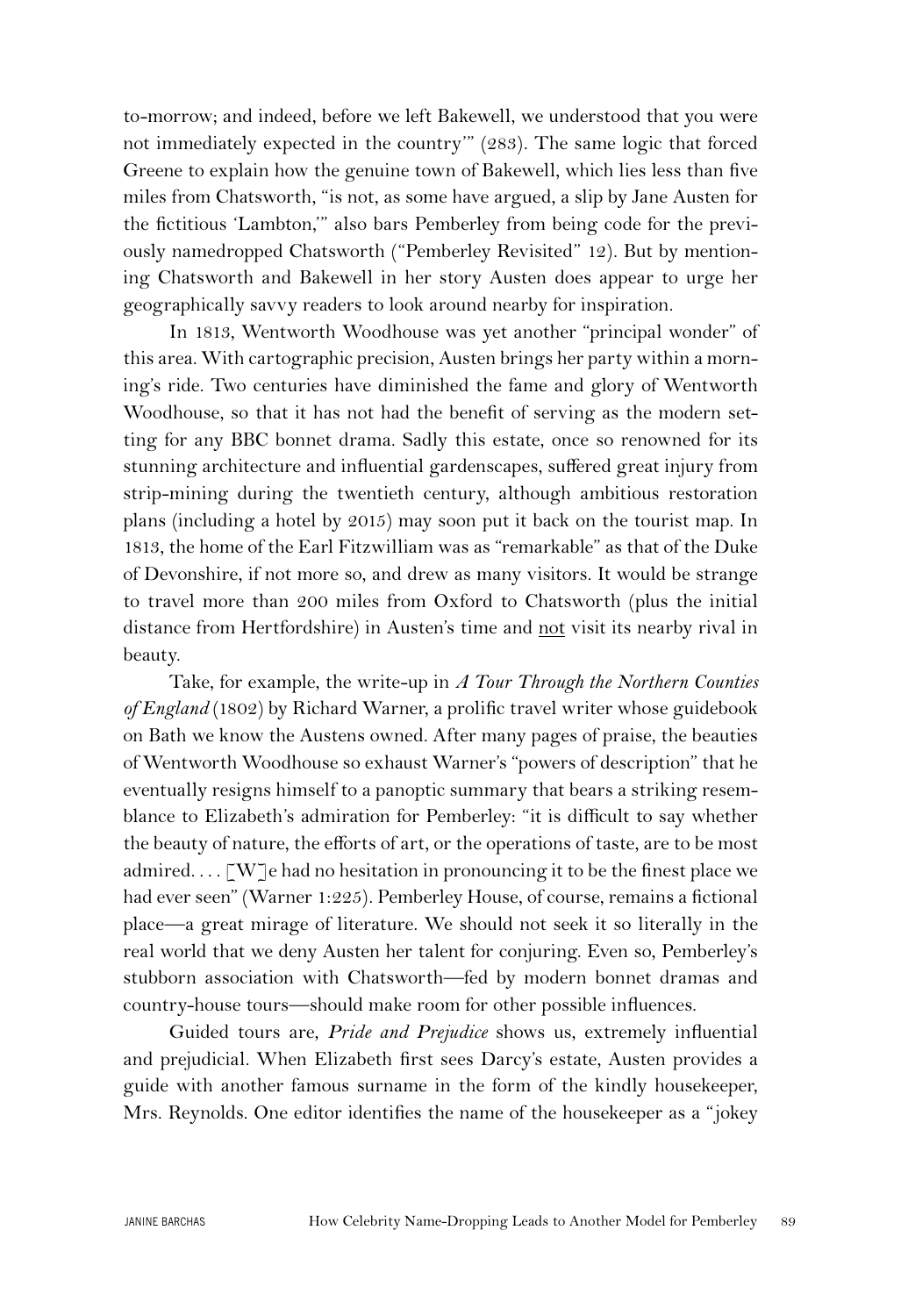to-morrow; and indeed, before we left Bakewell, we understood that you were not immediately expected in the country'" (283). The same logic that forced Greene to explain how the genuine town of Bakewell, which lies less than five miles from Chatsworth, "is not, as some have argued, a slip by Jane Austen for the fictitious 'Lambton,'" also bars Pemberley from being code for the previously namedropped Chatsworth ("Pemberley Revisited" 12). But by mentioning Chatsworth and Bakewell in her story Austen does appear to urge her geographically savvy readers to look around nearby for inspiration.

In 1813, Wentworth Woodhouse was yet another "principal wonder" of this area. With cartographic precision, Austen brings her party within a morning's ride. Two centuries have diminished the fame and glory of Wentworth Woodhouse, so that it has not had the benefit of serving as the modern setting for any BBC bonnet drama. Sadly this estate, once so renowned for its stunning architecture and influential gardenscapes, suffered great injury from strip-mining during the twentieth century, although ambitious restoration plans (including a hotel by 2015) may soon put it back on the tourist map. In 1813, the home of the Earl Fitzwilliam was as "remarkable" as that of the Duke of Devonshire, if not more so, and drew as many visitors. It would be strange to travel more than 200 miles from Oxford to Chatsworth (plus the initial distance from Hertfordshire) in Austen's time and not visit its nearby rival in beauty.

Take, for example, the write-up in *A Tour Through the Northern Counties of England* (1802) by Richard Warner, a prolific travel writer whose guidebook on Bath we know the Austens owned. After many pages of praise, the beauties of Wentworth Woodhouse so exhaust Warner's "powers of description" that he eventually resigns himself to a panoptic summary that bears a striking resemblance to Elizabeth's admiration for Pemberley: "it is difficult to say whether the beauty of nature, the efforts of art, or the operations of taste, are to be most admired...  $\lceil W \rceil e$  had no hesitation in pronouncing it to be the finest place we had ever seen" (Warner 1:225). Pemberley House, of course, remains a fictional place—a great mirage of literature. We should not seek it so literally in the real world that we deny Austen her talent for conjuring. Even so, Pemberley's stubborn association with Chatsworth—fed by modern bonnet dramas and country-house tours—should make room for other possible influences.

Guided tours are, *Pride and Prejudice* shows us, extremely influential and prejudicial. When Elizabeth first sees Darcy's estate, Austen provides a guide with another famous surname in the form of the kindly housekeeper, Mrs. Reynolds. One editor identifies the name of the housekeeper as a "jokey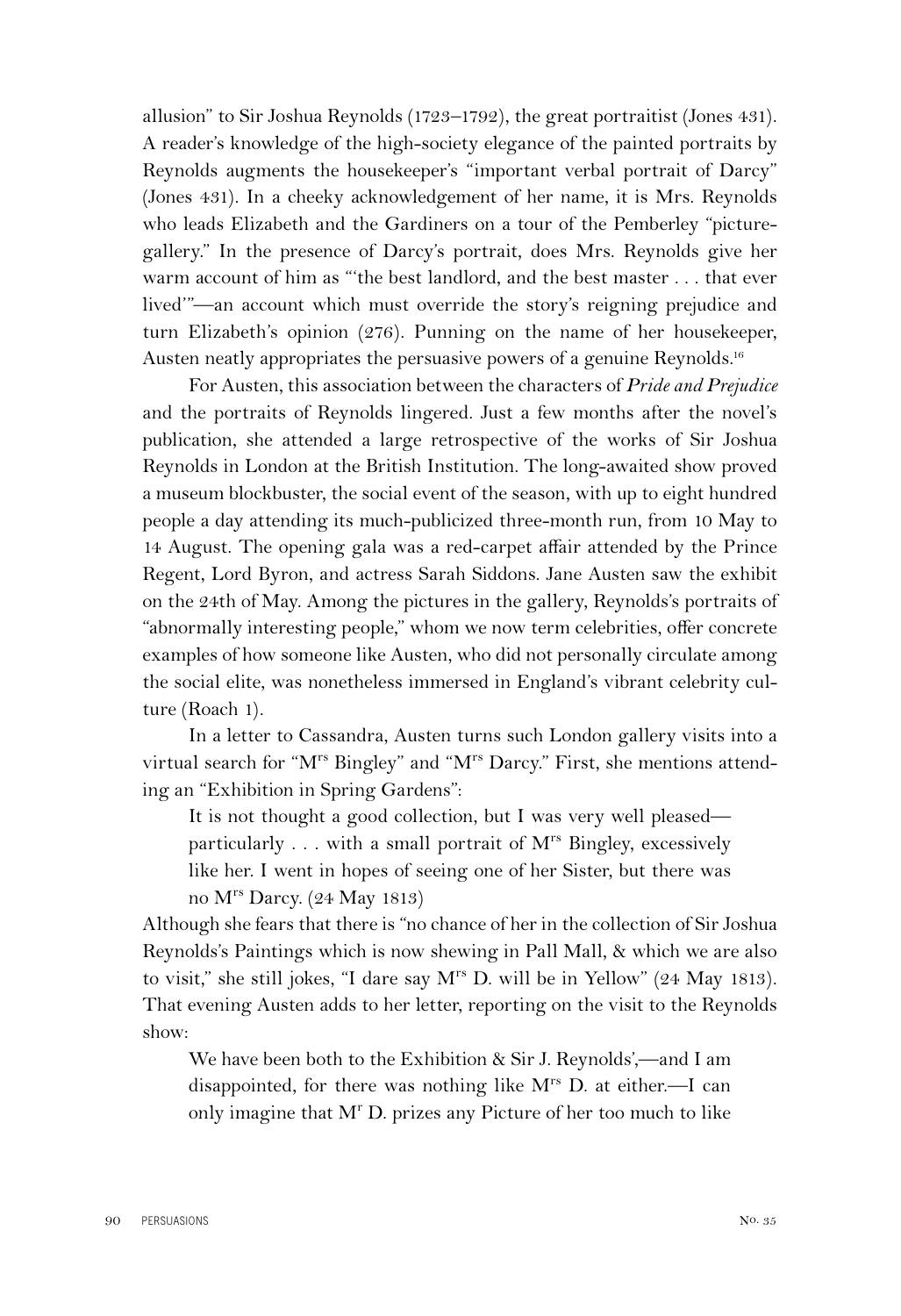allusion" to Sir Joshua Reynolds (1723–1792), the great portraitist (Jones 431). A reader's knowledge of the high-society elegance of the painted portraits by Reynolds augments the housekeeper's "important verbal portrait of Darcy" (Jones 431). In a cheeky acknowledgement of her name, it is Mrs. Reynolds who leads Elizabeth and the Gardiners on a tour of the Pemberley "picturegallery." In the presence of Darcy's portrait, does Mrs. Reynolds give her warm account of him as "'the best landlord, and the best master . . . that ever lived'"—an account which must override the story's reigning prejudice and turn Elizabeth's opinion (276). Punning on the name of her housekeeper, Austen neatly appropriates the persuasive powers of a genuine Reynolds.<sup>16</sup>

For Austen, this association between the characters of *Pride and Prejudice* and the portraits of Reynolds lingered. Just a few months after the novel's publication, she attended a large retrospective of the works of Sir Joshua Reynolds in London at the British Institution. The long-awaited show proved a museum blockbuster, the social event of the season, with up to eight hundred people a day attending its much-publicized three-month run, from 10 May to 14 August. The opening gala was a red-carpet affair attended by the Prince Regent, Lord Byron, and actress Sarah Siddons. Jane Austen saw the exhibit on the 24th of May. Among the pictures in the gallery, Reynolds's portraits of "abnormally interesting people," whom we now term celebrities, offer concrete examples of how someone like Austen, who did not personally circulate among the social elite, was nonetheless immersed in England's vibrant celebrity culture (Roach 1).

In a letter to Cassandra, Austen turns such London gallery visits into a virtual search for "M<sup>rs</sup> Bingley" and "M<sup>rs</sup> Darcy." First, she mentions attending an "Exhibition in Spring Gardens":

It is not thought a good collection, but I was very well pleased particularly  $\ldots$  with a small portrait of  $M^{rs}$  Bingley, excessively like her. I went in hopes of seeing one of her Sister, but there was no Mrs Darcy. (24 May 1813)

Although she fears that there is "no chance of her in the collection of Sir Joshua Reynolds's Paintings which is now shewing in Pall Mall, & which we are also to visit," she still jokes, "I dare say  $M^{rs}$  D. will be in Yellow" (24 May 1813). That evening Austen adds to her letter, reporting on the visit to the Reynolds show:

We have been both to the Exhibition & Sir J. Reynolds',—and I am disappointed, for there was nothing like  $M^{rs}$  D. at either.—I can only imagine that M<sup>r</sup> D. prizes any Picture of her too much to like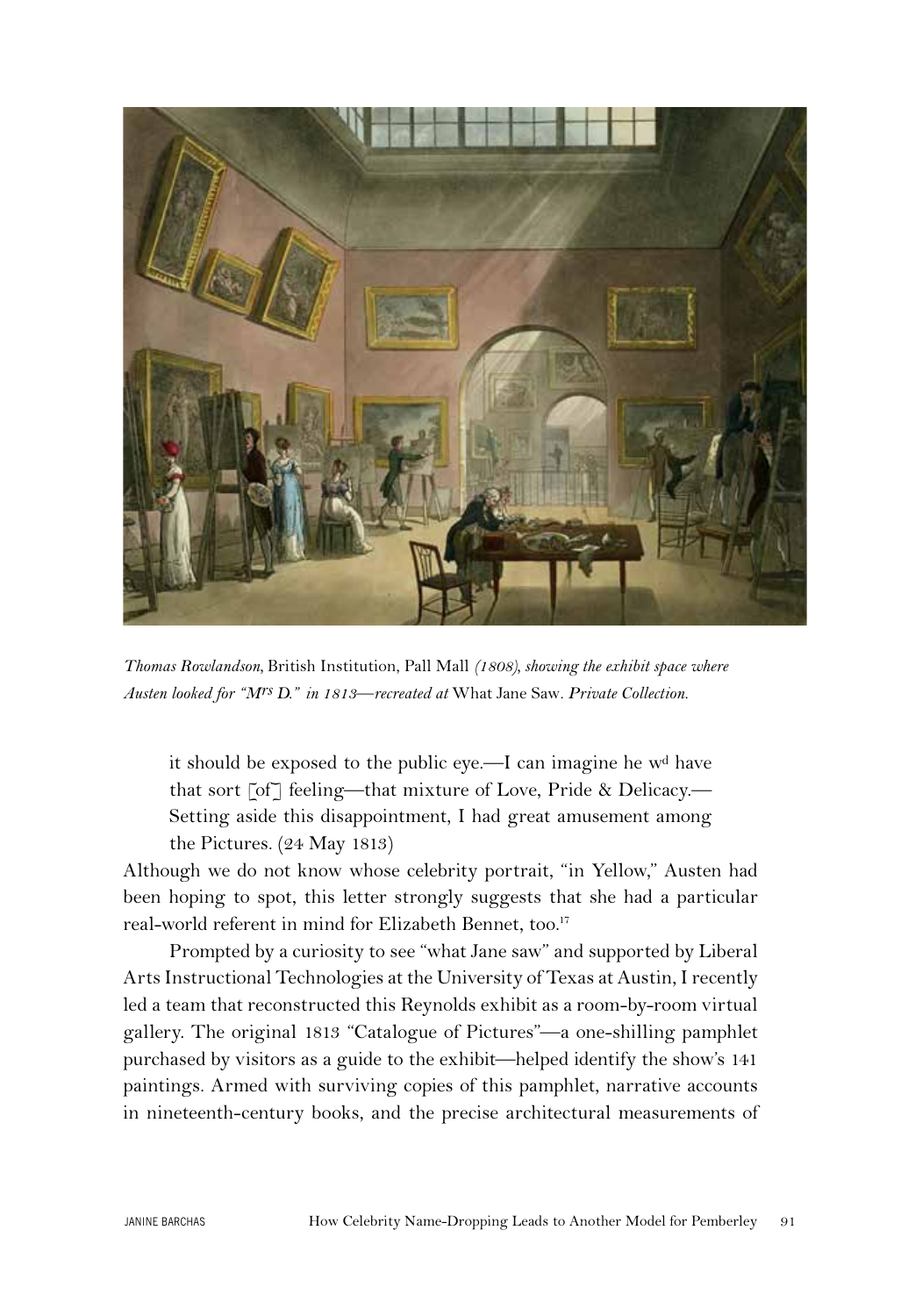

*Thomas Rowlandson,* British Institution, Pall Mall *(1808), showing the exhibit space where Austen looked for "Mrs D." in 1813—recreated at* What Jane Saw*. Private Collection.*

it should be exposed to the public eye.—I can imagine he wd have that sort [of] feeling—that mixture of Love, Pride & Delicacy.— Setting aside this disappointment, I had great amusement among the Pictures. (24 May 1813)

Although we do not know whose celebrity portrait, "in Yellow," Austen had been hoping to spot, this letter strongly suggests that she had a particular real-world referent in mind for Elizabeth Bennet, too.<sup>17</sup>

Prompted by a curiosity to see "what Jane saw" and supported by Liberal Arts Instructional Technologies at the University of Texas at Austin, I recently led a team that reconstructed this Reynolds exhibit as a room-by-room virtual gallery. The original 1813 "Catalogue of Pictures"—a one-shilling pamphlet purchased by visitors as a guide to the exhibit—helped identify the show's 141 paintings. Armed with surviving copies of this pamphlet, narrative accounts in nineteenth-century books, and the precise architectural measurements of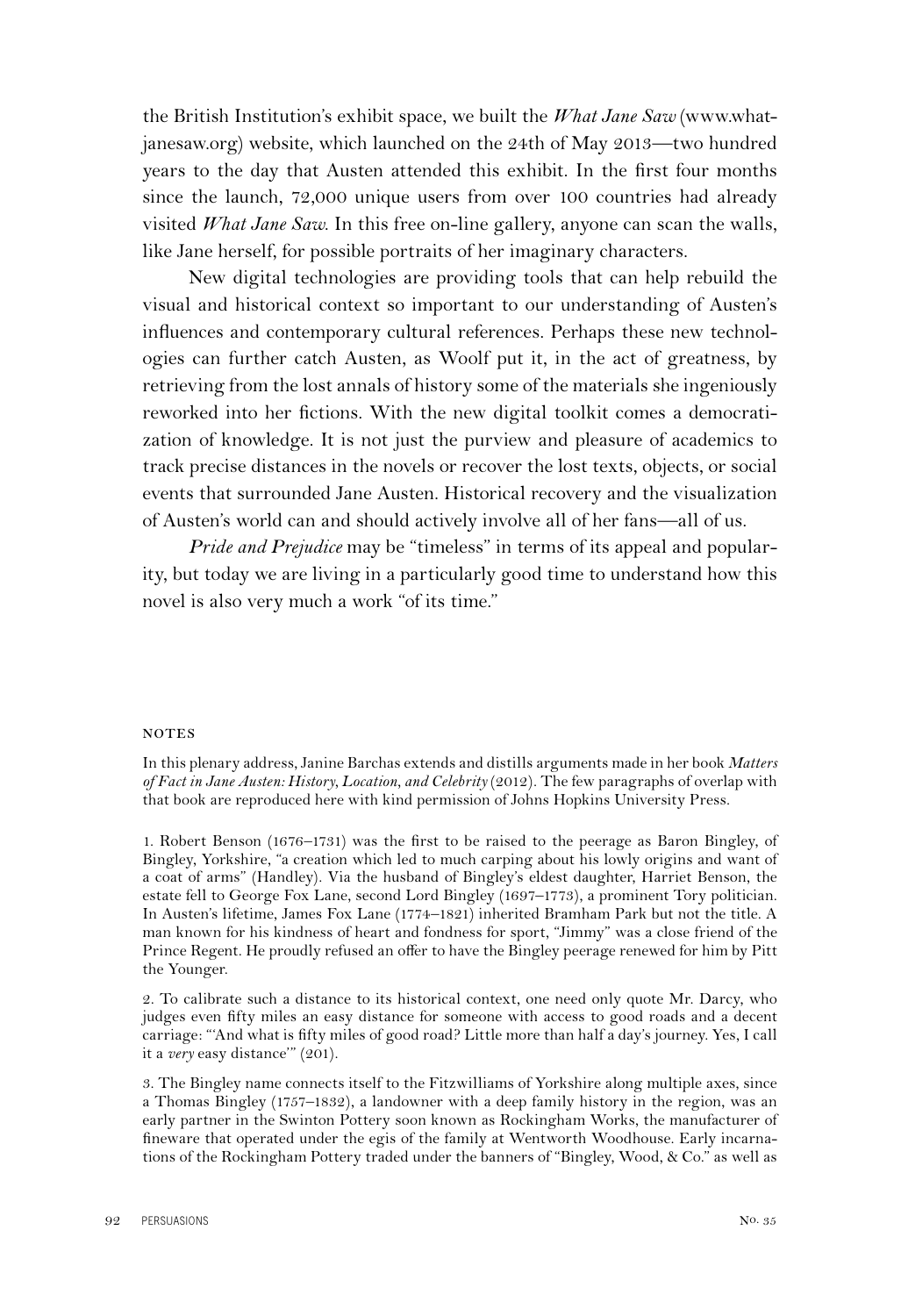the British Institution's exhibit space, we built the *What Jane Saw* (www.whatjanesaw.org) website, which launched on the 24th of May 2013—two hundred years to the day that Austen attended this exhibit. In the first four months since the launch, 72,000 unique users from over 100 countries had already visited *What Jane Saw*. In this free on-line gallery, anyone can scan the walls, like Jane herself, for possible portraits of her imaginary characters.

New digital technologies are providing tools that can help rebuild the visual and historical context so important to our understanding of Austen's influences and contemporary cultural references. Perhaps these new technologies can further catch Austen, as Woolf put it, in the act of greatness, by retrieving from the lost annals of history some of the materials she ingeniously reworked into her fictions. With the new digital toolkit comes a democratization of knowledge. It is not just the purview and pleasure of academics to track precise distances in the novels or recover the lost texts, objects, or social events that surrounded Jane Austen. Historical recovery and the visualization of Austen's world can and should actively involve all of her fans—all of us.

*Pride and Prejudice* may be "timeless" in terms of its appeal and popularity, but today we are living in a particularly good time to understand how this novel is also very much a work "of its time."

## **NOTES**

In this plenary address, Janine Barchas extends and distills arguments made in her book *Matters of Fact in Jane Austen: History, Location, and Celebrity* (2012). The few paragraphs of overlap with that book are reproduced here with kind permission of Johns Hopkins University Press.

1. Robert Benson (1676–1731) was the first to be raised to the peerage as Baron Bingley, of Bingley, Yorkshire, "a creation which led to much carping about his lowly origins and want of a coat of arms" (Handley). Via the husband of Bingley's eldest daughter, Harriet Benson, the estate fell to George Fox Lane, second Lord Bingley (1697–1773), a prominent Tory politician. In Austen's lifetime, James Fox Lane (1774–1821) inherited Bramham Park but not the title. A man known for his kindness of heart and fondness for sport, "Jimmy" was a close friend of the Prince Regent. He proudly refused an offer to have the Bingley peerage renewed for him by Pitt the Younger.

2. To calibrate such a distance to its historical context, one need only quote Mr. Darcy, who judges even fifty miles an easy distance for someone with access to good roads and a decent carriage: "'And what is fifty miles of good road? Little more than half a day's journey. Yes, I call it a *very* easy distance'" (201).

3. The Bingley name connects itself to the Fitzwilliams of Yorkshire along multiple axes, since a Thomas Bingley (1757–1832), a landowner with a deep family history in the region, was an early partner in the Swinton Pottery soon known as Rockingham Works, the manufacturer of fineware that operated under the egis of the family at Wentworth Woodhouse. Early incarnations of the Rockingham Pottery traded under the banners of "Bingley, Wood, & Co." as well as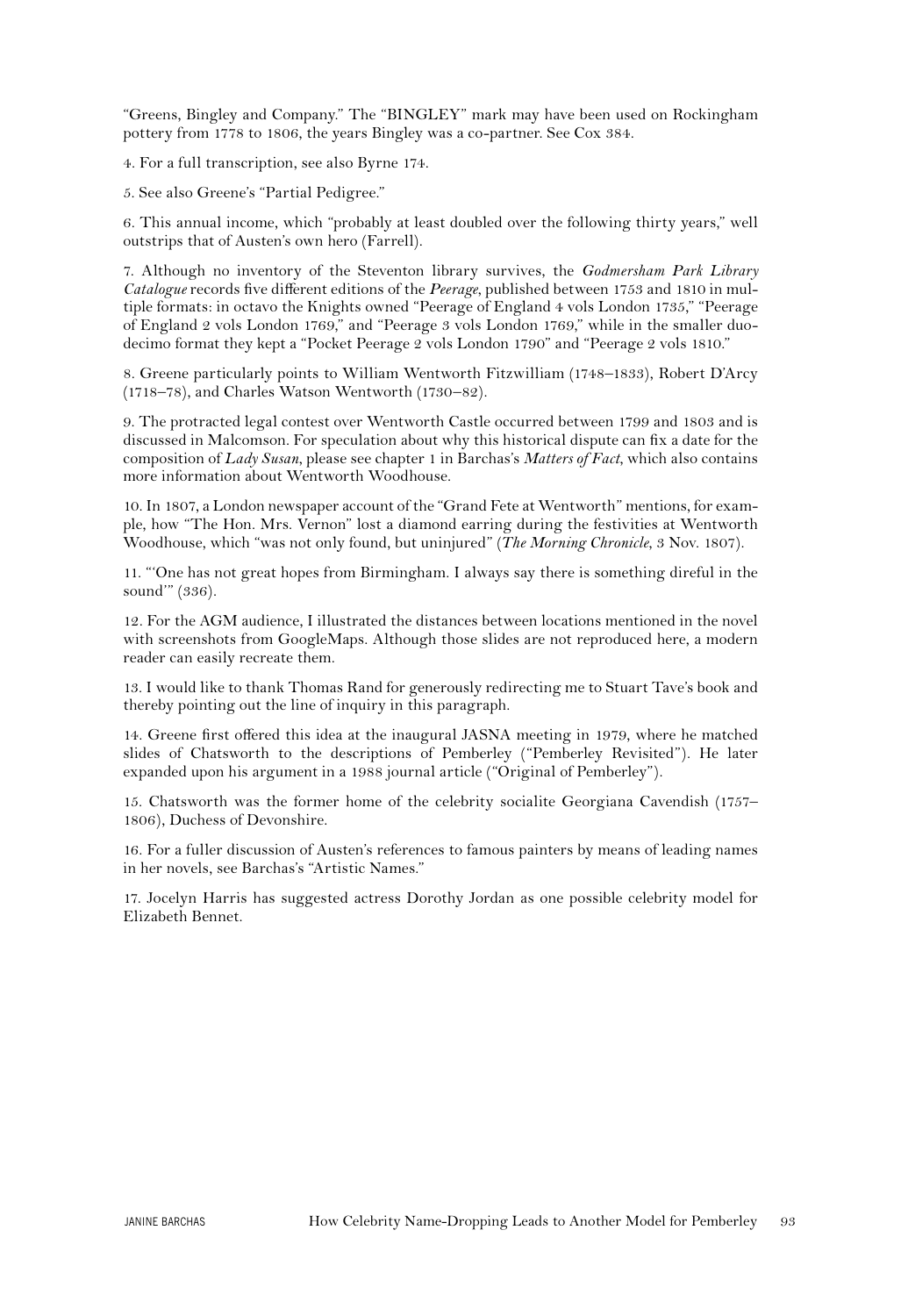"Greens, Bingley and Company." The "BINGLEY" mark may have been used on Rockingham pottery from 1778 to 1806, the years Bingley was a co-partner. See Cox 384.

4. For a full transcription, see also Byrne 174.

5. See also Greene's "Partial Pedigree."

6. This annual income, which "probably at least doubled over the following thirty years," well outstrips that of Austen's own hero (Farrell).

7. Although no inventory of the Steventon library survives, the *Godmersham Park Library Catalogue* records five different editions of the *Peerage*, published between 1753 and 1810 in multiple formats: in octavo the Knights owned "Peerage of England 4 vols London 1735," "Peerage of England 2 vols London 1769," and "Peerage 3 vols London 1769," while in the smaller duodecimo format they kept a "Pocket Peerage 2 vols London 1790" and "Peerage 2 vols 1810."

8. Greene particularly points to William Wentworth Fitzwilliam (1748–1833), Robert D'Arcy (1718–78), and Charles Watson Wentworth (1730–82).

9. The protracted legal contest over Wentworth Castle occurred between 1799 and 1803 and is discussed in Malcomson. For speculation about why this historical dispute can fix a date for the composition of *Lady Susan*, please see chapter 1 in Barchas's *Matters of Fact*, which also contains more information about Wentworth Woodhouse.

10. In 1807, a London newspaper account of the "Grand Fete at Wentworth" mentions, for example, how "The Hon. Mrs. Vernon" lost a diamond earring during the festivities at Wentworth Woodhouse, which "was not only found, but uninjured" (*The Morning Chronicle*, 3 Nov. 1807).

11. "'One has not great hopes from Birmingham. I always say there is something direful in the sound'" (336).

12. For the AGM audience, I illustrated the distances between locations mentioned in the novel with screenshots from GoogleMaps. Although those slides are not reproduced here, a modern reader can easily recreate them.

13. I would like to thank Thomas Rand for generously redirecting me to Stuart Tave's book and thereby pointing out the line of inquiry in this paragraph.

14. Greene first offered this idea at the inaugural JASNA meeting in 1979, where he matched slides of Chatsworth to the descriptions of Pemberley ("Pemberley Revisited"). He later expanded upon his argument in a 1988 journal article ("Original of Pemberley").

15. Chatsworth was the former home of the celebrity socialite Georgiana Cavendish (1757– 1806), Duchess of Devonshire.

16. For a fuller discussion of Austen's references to famous painters by means of leading names in her novels, see Barchas's "Artistic Names."

17. Jocelyn Harris has suggested actress Dorothy Jordan as one possible celebrity model for Elizabeth Bennet.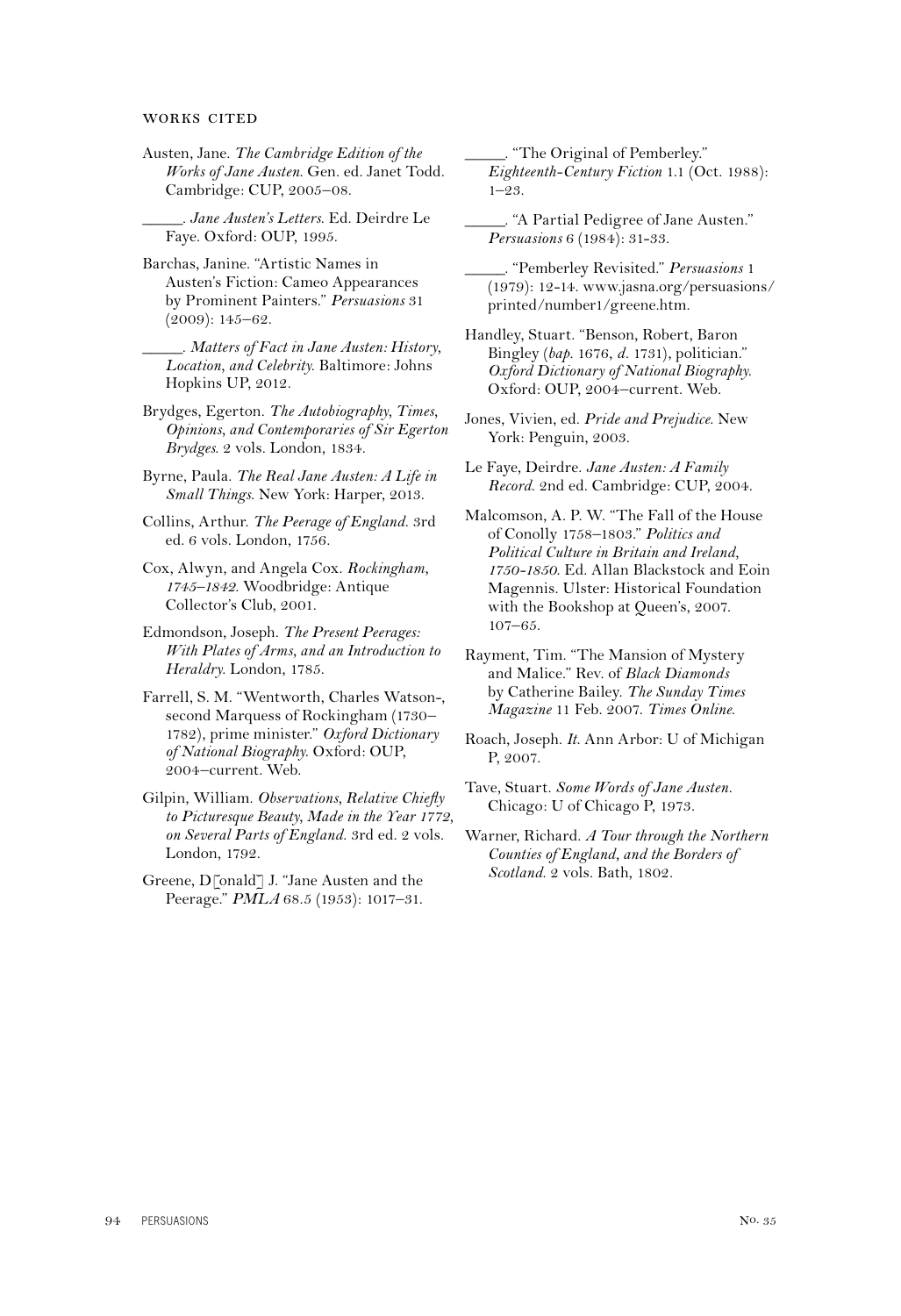#### WORKS CITED

Austen, Jane. *The Cambridge Edition of the Works of Jane Austen*. Gen. ed. Janet Todd. Cambridge: CUP, 2005–08.

*\_\_\_\_\_. Jane Austen's Letters*. Ed. Deirdre Le Faye. Oxford: OUP, 1995.

Barchas, Janine. "Artistic Names in Austen's Fiction: Cameo Appearances by Prominent Painters." *Persuasions* 31 (2009): 145–62.

*\_\_\_\_\_*. *Matters of Fact in Jane Austen: History, Location, and Celebrity*. Baltimore: Johns Hopkins UP, 2012.

Brydges, Egerton. *The Autobiography, Times, Opinions, and Contemporaries of Sir Egerton Brydges*. 2 vols. London, 1834.

Byrne, Paula. *The Real Jane Austen: A Life in Small Things*. New York: Harper, 2013.

Collins, Arthur. *The Peerage of England*. 3rd ed. 6 vols. London, 1756.

Cox, Alwyn, and Angela Cox. *Rockingham, 1745–1842*. Woodbridge: Antique Collector's Club, 2001.

Edmondson, Joseph. *The Present Peerages: With Plates of Arms, and an Introduction to Heraldry*. London, 1785.

Farrell, S. M. "Wentworth, Charles Watson-, second Marquess of Rockingham (1730– 1782), prime minister." *Oxford Dictionary of National Biography*. Oxford: OUP, 2004–current. Web.

Gilpin, William. *Observations, Relative Chiefly to Picturesque Beauty, Made in the Year 1772, on Several Parts of England*. 3rd ed. 2 vols. London, 1792.

Greene, D[onald] J. "Jane Austen and the Peerage." *PMLA* 68.5 (1953): 1017–31.

*\_\_\_\_\_*. "The Original of Pemberley." *Eighteenth-Century Fiction* 1.1 (Oct. 1988):  $1 - 9.3$ 

*\_\_\_\_\_*. "A Partial Pedigree of Jane Austen." *Persuasions* 6 (1984): 31-33.

*\_\_\_\_\_*. "Pemberley Revisited." *Persuasions* 1 (1979): 12-14. www.jasna.org/persuasions/ printed/number1/greene.htm.

Handley, Stuart. "Benson, Robert, Baron Bingley (*bap.* 1676, *d.* 1731), politician." *Oxford Dictionary of National Biography*. Oxford: OUP, 2004–current. Web.

Jones, Vivien, ed. *Pride and Prejudice*. New York: Penguin, 2003.

Le Faye, Deirdre. *Jane Austen: A Family Record*. 2nd ed. Cambridge: CUP, 2004.

Malcomson, A. P. W. "The Fall of the House of Conolly 1758–1803." *Politics and Political Culture in Britain and Ireland, 1750-1850*. Ed. Allan Blackstock and Eoin Magennis. Ulster: Historical Foundation with the Bookshop at Queen's, 2007. 107–65.

Rayment, Tim. "The Mansion of Mystery and Malice." Rev. of *Black Diamonds* by Catherine Bailey. *The Sunday Times Magazine* 11 Feb. 2007. *Times Online*.

Roach, Joseph. *It*. Ann Arbor: U of Michigan P, 2007.

Tave, Stuart. *Some Words of Jane Austen.*  Chicago: U of Chicago P, 1973.

Warner, Richard. *A Tour through the Northern Counties of England, and the Borders of Scotland*. 2 vols. Bath, 1802.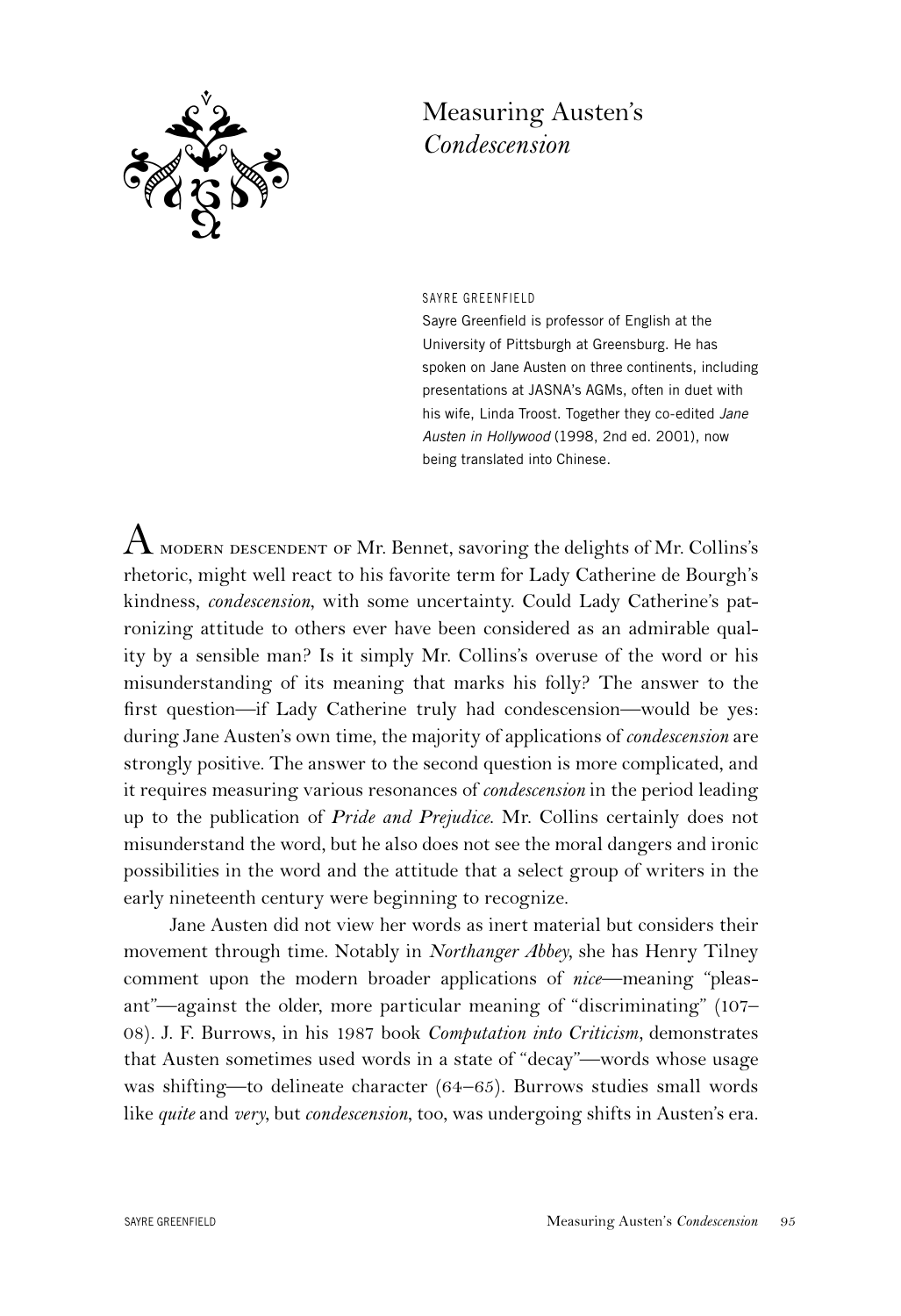

## Measuring Austen's *Condescension*

SAYRE GREENFIELD

Sayre Greenfield is professor of English at the University of Pittsburgh at Greensburg. He has spoken on Jane Austen on three continents, including presentations at JASNA's AGMs, often in duet with his wife, Linda Troost. Together they co-edited *Jane Austen in Hollywood* (1998, 2nd ed. 2001), now being translated into Chinese.

 ${\rm A}$  modern descendent of Mr. Bennet, savoring the delights of Mr. Collins's rhetoric, might well react to his favorite term for Lady Catherine de Bourgh's kindness, *condescension*, with some uncertainty. Could Lady Catherine's patronizing attitude to others ever have been considered as an admirable quality by a sensible man? Is it simply Mr. Collins's overuse of the word or his misunderstanding of its meaning that marks his folly? The answer to the first question—if Lady Catherine truly had condescension—would be yes: during Jane Austen's own time, the majority of applications of *condescension* are strongly positive. The answer to the second question is more complicated, and it requires measuring various resonances of *condescension* in the period leading up to the publication of *Pride and Prejudice*. Mr. Collins certainly does not misunderstand the word, but he also does not see the moral dangers and ironic possibilities in the word and the attitude that a select group of writers in the early nineteenth century were beginning to recognize.

Jane Austen did not view her words as inert material but considers their movement through time. Notably in *Northanger Abbey,* she has Henry Tilney comment upon the modern broader applications of *nice*—meaning "pleasant"—against the older, more particular meaning of "discriminating" (107– 08). J. F. Burrows, in his 1987 book *Computation into Criticism,* demonstrates that Austen sometimes used words in a state of "decay"—words whose usage was shifting—to delineate character (64–65). Burrows studies small words like *quite* and *very*, but *condescension*, too, was undergoing shifts in Austen's era.